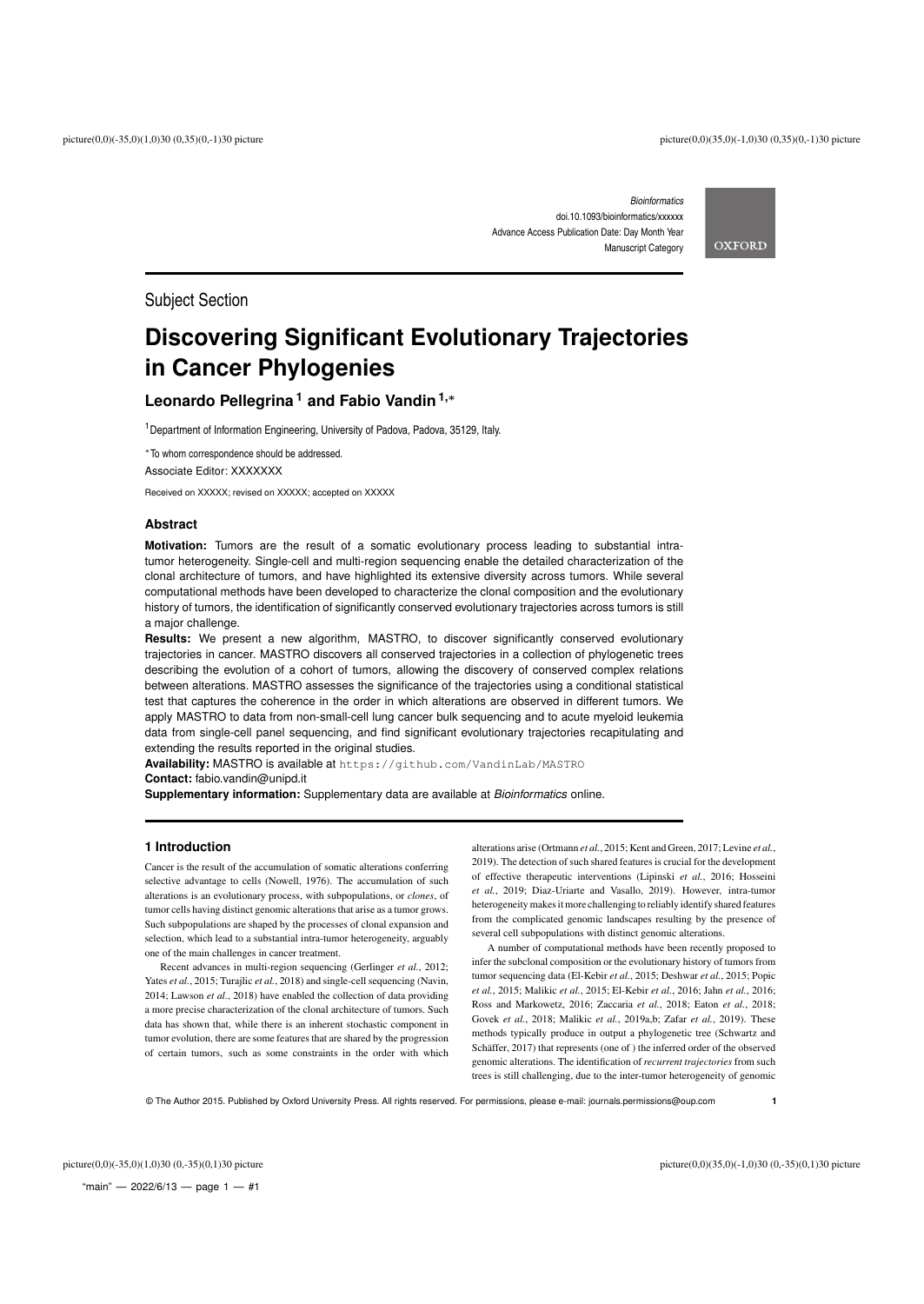*Bioinformatics* doi.10.1093/bioinformatics/xxxxxx Advance Access Publication Date: Day Month Year Manuscript Category **OXFORD** 

Subject Section

# **Discovering Significant Evolutionary Trajectories in Cancer Phylogenies**

# **Leonardo Pellegrina <sup>1</sup> and Fabio Vandin1,**<sup>∗</sup>

<sup>1</sup> Department of Information Engineering, University of Padova, Padova, 35129, Italy.

<sup>∗</sup>To whom correspondence should be addressed.

Associate Editor: XXXXXXX

Received on XXXXX; revised on XXXXX; accepted on XXXXX

# **Abstract**

**Motivation:** Tumors are the result of a somatic evolutionary process leading to substantial intratumor heterogeneity. Single-cell and multi-region sequencing enable the detailed characterization of the clonal architecture of tumors, and have highlighted its extensive diversity across tumors. While several computational methods have been developed to characterize the clonal composition and the evolutionary history of tumors, the identification of significantly conserved evolutionary trajectories across tumors is still a major challenge.

**Results:** We present a new algorithm, MASTRO, to discover significantly conserved evolutionary trajectories in cancer. MASTRO discovers all conserved trajectories in a collection of phylogenetic trees describing the evolution of a cohort of tumors, allowing the discovery of conserved complex relations between alterations. MASTRO assesses the significance of the trajectories using a conditional statistical test that captures the coherence in the order in which alterations are observed in different tumors. We apply MASTRO to data from non-small-cell lung cancer bulk sequencing and to acute myeloid leukemia data from single-cell panel sequencing, and find significant evolutionary trajectories recapitulating and extending the results reported in the original studies.

**Availability:** MASTRO is available at https://github.com/VandinLab/MASTRO **Contact:** fabio.vandin@unipd.it

**Supplementary information:** Supplementary data are available at *Bioinformatics* online.

# **1 Introduction**

Cancer is the result of the accumulation of somatic alterations conferring selective advantage to cells (Nowell, 1976). The accumulation of such alterations is an evolutionary process, with subpopulations, or *clones*, of tumor cells having distinct genomic alterations that arise as a tumor grows. Such subpopulations are shaped by the processes of clonal expansion and selection, which lead to a substantial intra-tumor heterogeneity, arguably one of the main challenges in cancer treatment.

Recent advances in multi-region sequencing (Gerlinger *et al.*, 2012; Yates *et al.*, 2015; Turajlic *et al.*, 2018) and single-cell sequencing (Navin, 2014; Lawson *et al.*, 2018) have enabled the collection of data providing a more precise characterization of the clonal architecture of tumors. Such data has shown that, while there is an inherent stochastic component in tumor evolution, there are some features that are shared by the progression of certain tumors, such as some constraints in the order with which

alterations arise (Ortmann *et al.*, 2015; Kent and Green, 2017; Levine *et al.*, 2019). The detection of such shared features is crucial for the development of effective therapeutic interventions (Lipinski *et al.*, 2016; Hosseini *et al.*, 2019; Diaz-Uriarte and Vasallo, 2019). However, intra-tumor heterogeneity makes it more challenging to reliably identify shared features from the complicated genomic landscapes resulting by the presence of several cell subpopulations with distinct genomic alterations.

A number of computational methods have been recently proposed to infer the subclonal composition or the evolutionary history of tumors from tumor sequencing data (El-Kebir *et al.*, 2015; Deshwar *et al.*, 2015; Popic *et al.*, 2015; Malikic *et al.*, 2015; El-Kebir *et al.*, 2016; Jahn *et al.*, 2016; Ross and Markowetz, 2016; Zaccaria *et al.*, 2018; Eaton *et al.*, 2018; Govek *et al.*, 2018; Malikic *et al.*, 2019a,b; Zafar *et al.*, 2019). These methods typically produce in output a phylogenetic tree (Schwartz and Schäffer, 2017) that represents (one of ) the inferred order of the observed genomic alterations. The identification of *recurrent trajectories* from such trees is still challenging, due to the inter-tumor heterogeneity of genomic

© The Author 2015. Published by Oxford University Press. All rights reserved. For permissions, please e-mail: journals.permissions@oup.com **1**

"main"  $-$  2022/6/13  $-$  page 1  $-$  #1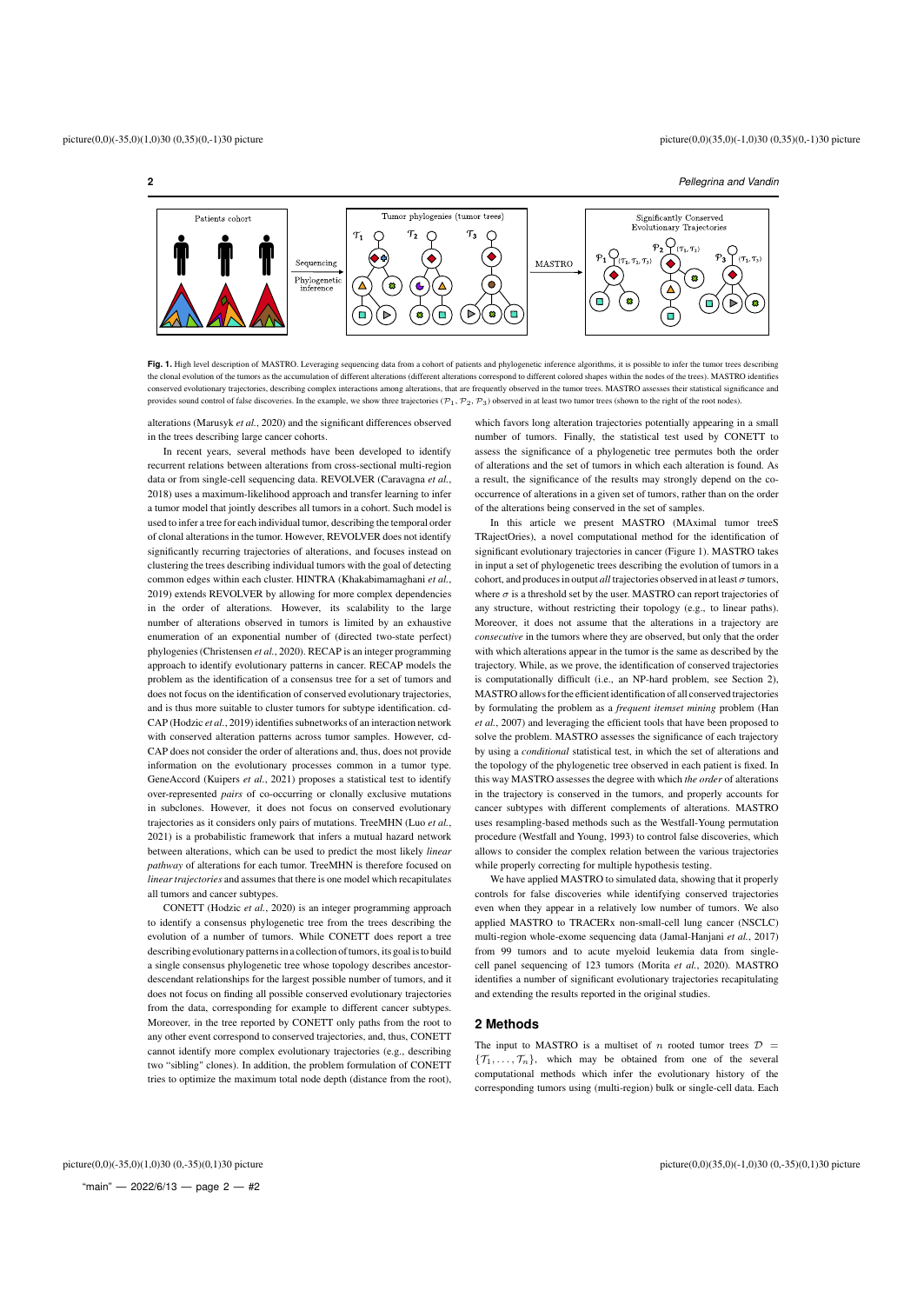**2** *Pellegrina and Vandin*



Fig. 1. High level description of MASTRO. Leveraging sequencing data from a cohort of patients and phylogenetic inference algorithms, it is possible to infer the tumor trees describing the clonal evolution of the tumors as the accumulation of different alterations (different alterations correspond to different colored shapes within the nodes of the trees). MASTRO identifies conserved evolutionary trajectories, describing complex interactions among alterations, that are frequently observed in the tumor trees. MASTRO assesses their statistical significance and provides sound control of false discoveries. In the example, we show three trajectories  $(\mathcal{P}_1, \mathcal{P}_2, \mathcal{P}_3)$  observed in at least two tumor trees (shown to the right of the root nodes).

alterations (Marusyk *et al.*, 2020) and the significant differences observed in the trees describing large cancer cohorts.

In recent years, several methods have been developed to identify recurrent relations between alterations from cross-sectional multi-region data or from single-cell sequencing data. REVOLVER (Caravagna *et al.*, 2018) uses a maximum-likelihood approach and transfer learning to infer a tumor model that jointly describes all tumors in a cohort. Such model is used to infer a tree for each individual tumor, describing the temporal order of clonal alterations in the tumor. However, REVOLVER does not identify significantly recurring trajectories of alterations, and focuses instead on clustering the trees describing individual tumors with the goal of detecting common edges within each cluster. HINTRA (Khakabimamaghani *et al.*, 2019) extends REVOLVER by allowing for more complex dependencies in the order of alterations. However, its scalability to the large number of alterations observed in tumors is limited by an exhaustive enumeration of an exponential number of (directed two-state perfect) phylogenies (Christensen *et al.*, 2020). RECAP is an integer programming approach to identify evolutionary patterns in cancer. RECAP models the problem as the identification of a consensus tree for a set of tumors and does not focus on the identification of conserved evolutionary trajectories, and is thus more suitable to cluster tumors for subtype identification. cd-CAP (Hodzic *et al.*, 2019) identifies subnetworks of an interaction network with conserved alteration patterns across tumor samples. However, cd-CAP does not consider the order of alterations and, thus, does not provide information on the evolutionary processes common in a tumor type. GeneAccord (Kuipers *et al.*, 2021) proposes a statistical test to identify over-represented *pairs* of co-occurring or clonally exclusive mutations in subclones. However, it does not focus on conserved evolutionary trajectories as it considers only pairs of mutations. TreeMHN (Luo *et al.*, 2021) is a probabilistic framework that infers a mutual hazard network between alterations, which can be used to predict the most likely *linear pathway* of alterations for each tumor. TreeMHN is therefore focused on *linear trajectories* and assumes that there is one model which recapitulates all tumors and cancer subtypes.

CONETT (Hodzic *et al.*, 2020) is an integer programming approach to identify a consensus phylogenetic tree from the trees describing the evolution of a number of tumors. While CONETT does report a tree describing evolutionary patterns in a collection of tumors, its goal is to build a single consensus phylogenetic tree whose topology describes ancestordescendant relationships for the largest possible number of tumors, and it does not focus on finding all possible conserved evolutionary trajectories from the data, corresponding for example to different cancer subtypes. Moreover, in the tree reported by CONETT only paths from the root to any other event correspond to conserved trajectories, and, thus, CONETT cannot identify more complex evolutionary trajectories (e.g., describing two "sibling" clones). In addition, the problem formulation of CONETT tries to optimize the maximum total node depth (distance from the root),

which favors long alteration trajectories potentially appearing in a small number of tumors. Finally, the statistical test used by CONETT to assess the significance of a phylogenetic tree permutes both the order of alterations and the set of tumors in which each alteration is found. As a result, the significance of the results may strongly depend on the cooccurrence of alterations in a given set of tumors, rather than on the order of the alterations being conserved in the set of samples.

In this article we present MASTRO (MAximal tumor treeS TRajectOries), a novel computational method for the identification of significant evolutionary trajectories in cancer (Figure 1). MASTRO takes in input a set of phylogenetic trees describing the evolution of tumors in a cohort, and produces in output *all* trajectories observed in at least  $\sigma$  tumors, where  $\sigma$  is a threshold set by the user. MASTRO can report trajectories of any structure, without restricting their topology (e.g., to linear paths). Moreover, it does not assume that the alterations in a trajectory are *consecutive* in the tumors where they are observed, but only that the order with which alterations appear in the tumor is the same as described by the trajectory. While, as we prove, the identification of conserved trajectories is computationally difficult (i.e., an NP-hard problem, see Section 2), MASTRO allows for the efficient identification of all conserved trajectories by formulating the problem as a *frequent itemset mining* problem (Han *et al.*, 2007) and leveraging the efficient tools that have been proposed to solve the problem. MASTRO assesses the significance of each trajectory by using a *conditional* statistical test, in which the set of alterations and the topology of the phylogenetic tree observed in each patient is fixed. In this way MASTRO assesses the degree with which *the order* of alterations in the trajectory is conserved in the tumors, and properly accounts for cancer subtypes with different complements of alterations. MASTRO uses resampling-based methods such as the Westfall-Young permutation procedure (Westfall and Young, 1993) to control false discoveries, which allows to consider the complex relation between the various trajectories while properly correcting for multiple hypothesis testing.

We have applied MASTRO to simulated data, showing that it properly controls for false discoveries while identifying conserved trajectories even when they appear in a relatively low number of tumors. We also applied MASTRO to TRACERx non-small-cell lung cancer (NSCLC) multi-region whole-exome sequencing data (Jamal-Hanjani *et al.*, 2017) from 99 tumors and to acute myeloid leukemia data from singlecell panel sequencing of 123 tumors (Morita *et al.*, 2020). MASTRO identifies a number of significant evolutionary trajectories recapitulating and extending the results reported in the original studies.

# **2 Methods**

The input to MASTRO is a multiset of n rooted tumor trees  $\mathcal{D}$  =  ${\mathcal{T}_1, \ldots, \mathcal{T}_n}$ , which may be obtained from one of the several computational methods which infer the evolutionary history of the corresponding tumors using (multi-region) bulk or single-cell data. Each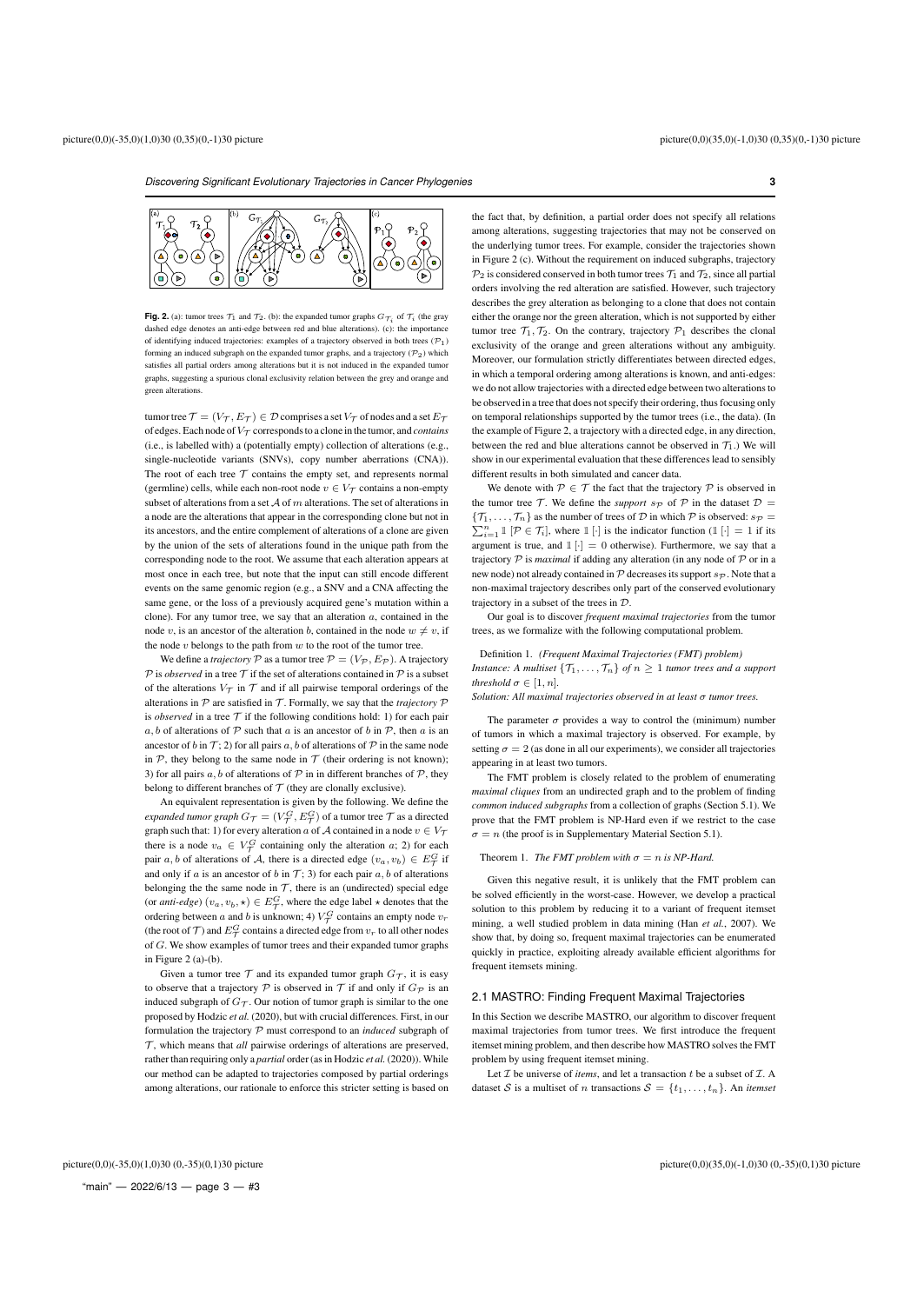

**Fig. 2.** (a): tumor trees  $\mathcal{T}_1$  and  $\mathcal{T}_2$ . (b): the expanded tumor graphs  $G_{\mathcal{T}_i}$  of  $\mathcal{T}_i$  (the gray dashed edge denotes an anti-edge between red and blue alterations). (c): the import of identifying induced trajectories: examples of a trajectory observed in both trees  $(\mathcal{P}_1)$ forming an induced subgraph on the expanded tumor graphs, and a trajectory  $(\mathcal{P}_2)$  which satisfies all partial orders among alterations but it is not induced in the expanded tumor graphs, suggesting a spurious clonal exclusivity relation between the grey and orange and green alterations.

tumor tree  $\mathcal{T} = (V_{\mathcal{T}}, E_{\mathcal{T}}) \in \mathcal{D}$  comprises a set  $V_{\mathcal{T}}$  of nodes and a set  $E_{\mathcal{T}}$ of edges. Each node of  $V_T$  corresponds to a clone in the tumor, and *contains* (i.e., is labelled with) a (potentially empty) collection of alterations (e.g., single-nucleotide variants (SNVs), copy number aberrations (CNA)). The root of each tree  $T$  contains the empty set, and represents normal (germline) cells, while each non-root node  $v \in V_{\tau}$  contains a non-empty subset of alterations from a set  $A$  of m alterations. The set of alterations in a node are the alterations that appear in the corresponding clone but not in its ancestors, and the entire complement of alterations of a clone are given by the union of the sets of alterations found in the unique path from the corresponding node to the root. We assume that each alteration appears at most once in each tree, but note that the input can still encode different events on the same genomic region (e.g., a SNV and a CNA affecting the same gene, or the loss of a previously acquired gene's mutation within a clone). For any tumor tree, we say that an alteration  $a$ , contained in the node v, is an ancestor of the alteration b, contained in the node  $w \neq v$ , if the node  $v$  belongs to the path from  $w$  to the root of the tumor tree.

We define a *trajectory*  $P$  as a tumor tree  $P = (V_P, E_P)$ . A trajectory  ${\mathcal P}$  is *observed* in a tree  ${\mathcal T}$  if the set of alterations contained in  ${\mathcal P}$  is a subset of the alterations  $V_{\tau}$  in  $\tau$  and if all pairwise temporal orderings of the alterations in  $P$  are satisfied in  $T$ . Formally, we say that the *trajectory*  $P$ is *observed* in a tree  $T$  if the following conditions hold: 1) for each pair a, b of alterations of  $P$  such that a is an ancestor of b in  $P$ , then a is an ancestor of b in  $\mathcal{T}$ ; 2) for all pairs a, b of alterations of  $\mathcal{P}$  in the same node in  $P$ , they belong to the same node in  $T$  (their ordering is not known); 3) for all pairs  $a, b$  of alterations of  $P$  in in different branches of  $P$ , they belong to different branches of  $T$  (they are clonally exclusive).

An equivalent representation is given by the following. We define the *expanded tumor graph*  $G_{\mathcal{T}} = (V_{\mathcal{T}}^G, E_{\mathcal{T}}^G)$  *of a tumor tree*  $\mathcal T$  *as a directed* graph such that: 1) for every alteration a of A contained in a node  $v \in V_{\mathcal{T}}$ there is a node  $v_a \in V^G_\mathcal{T}$  containing only the alteration  $a$ ; 2) for each pair a, b of alterations of A, there is a directed edge  $(v_a, v_b) \in E^G_{\mathcal{T}}$  if and only if a is an ancestor of b in  $\mathcal{T}$ ; 3) for each pair  $a, b$  of alterations belonging the the same node in  $\mathcal T$ , there is an (undirected) special edge (or *anti-edge*)  $(v_a, v_b, \star) \in E^G_\mathcal{T}$ , where the edge label  $\star$  denotes that the ordering between a and b is unknown; 4)  $V^G_{\mathcal{T}}$  contains an empty node  $v_r$ (the root of  $\mathcal T)$  and  $E_{\mathcal T}^G$  contains a directed edge from  $v_r$  to all other nodes of G. We show examples of tumor trees and their expanded tumor graphs in Figure  $2(a)-(b)$ .

Given a tumor tree  $\mathcal T$  and its expanded tumor graph  $G_{\mathcal T}$ , it is easy to observe that a trajectory P is observed in T if and only if  $G_{\mathcal{D}}$  is an induced subgraph of  $G_{\mathcal{T}}$ . Our notion of tumor graph is similar to the one proposed by Hodzic *et al.* (2020), but with crucial differences. First, in our formulation the trajectory P must correspond to an *induced* subgraph of  $\mathcal T$ , which means that *all* pairwise orderings of alterations are preserved, rather than requiring only a *partial* order (as in Hodzic *et al.*(2020)). While our method can be adapted to trajectories composed by partial orderings among alterations, our rationale to enforce this stricter setting is based on

the fact that, by definition, a partial order does not specify all relations among alterations, suggesting trajectories that may not be conserved on the underlying tumor trees. For example, consider the trajectories shown in Figure 2 (c). Without the requirement on induced subgraphs, trajectory  $\mathcal{P}_2$  is considered conserved in both tumor trees  $\mathcal{T}_1$  and  $\mathcal{T}_2$ , since all partial orders involving the red alteration are satisfied. However, such trajectory describes the grey alteration as belonging to a clone that does not contain either the orange nor the green alteration, which is not supported by either tumor tree  $\mathcal{T}_1$ ,  $\mathcal{T}_2$ . On the contrary, trajectory  $\mathcal{P}_1$  describes the clonal exclusivity of the orange and green alterations without any ambiguity. Moreover, our formulation strictly differentiates between directed edges, in which a temporal ordering among alterations is known, and anti-edges: we do not allow trajectories with a directed edge between two alterations to be observed in a tree that does not specify their ordering, thus focusing only on temporal relationships supported by the tumor trees (i.e., the data). (In the example of Figure 2, a trajectory with a directed edge, in any direction, between the red and blue alterations cannot be observed in  $\mathcal{T}_1$ .) We will show in our experimental evaluation that these differences lead to sensibly different results in both simulated and cancer data.

We denote with  $P \in \mathcal{T}$  the fact that the trajectory P is observed in the tumor tree  $\mathcal T$ . We define the *support*  $s_{\mathcal{P}}$  of  $\mathcal P$  in the dataset  $\mathcal D$  =  ${\mathcal{T}_1, \ldots, \mathcal{T}_n}$  as the number of trees of  ${\mathcal{D}}$  in which  ${\mathcal{P}}$  is observed:  $s_{\mathcal{P}} =$  $\sum_{i=1}^{n} \mathbb{I}[\mathcal{P} \in \mathcal{T}_i]$ , where  $\mathbb{I}[\cdot]$  is the indicator function  $(\mathbb{I}[\cdot] = 1$  if its argument is true, and  $\mathbb{1}[\cdot] = 0$  otherwise). Furthermore, we say that a trajectory P is *maximal* if adding any alteration (in any node of P or in a new node) not already contained in  $P$  decreases its support  $s_{P}$ . Note that a non-maximal trajectory describes only part of the conserved evolutionary trajectory in a subset of the trees in D.

Our goal is to discover *frequent maximal trajectories* from the tumor trees, as we formalize with the following computational problem.

Definition 1. *(Frequent Maximal Trajectories (FMT) problem) Instance: A multiset*  $\{T_1, \ldots, T_n\}$  *of*  $n \geq 1$  *tumor trees and a support threshold*  $\sigma \in [1, n]$ *.* 

*Solution: All maximal trajectories observed in at least* σ *tumor trees.*

The parameter  $\sigma$  provides a way to control the (minimum) number of tumors in which a maximal trajectory is observed. For example, by setting  $\sigma = 2$  (as done in all our experiments), we consider all trajectories appearing in at least two tumors.

The FMT problem is closely related to the problem of enumerating *maximal cliques* from an undirected graph and to the problem of finding *common induced subgraphs* from a collection of graphs (Section 5.1). We prove that the FMT problem is NP-Hard even if we restrict to the case  $\sigma = n$  (the proof is in Supplementary Material Section 5.1).

#### Theorem 1. *The FMT problem with*  $\sigma = n$  *is NP-Hard.*

Given this negative result, it is unlikely that the FMT problem can be solved efficiently in the worst-case. However, we develop a practical solution to this problem by reducing it to a variant of frequent itemset mining, a well studied problem in data mining (Han *et al.*, 2007). We show that, by doing so, frequent maximal trajectories can be enumerated quickly in practice, exploiting already available efficient algorithms for frequent itemsets mining.

#### 2.1 MASTRO: Finding Frequent Maximal Trajectories

In this Section we describe MASTRO, our algorithm to discover frequent maximal trajectories from tumor trees. We first introduce the frequent itemset mining problem, and then describe how MASTRO solves the FMT problem by using frequent itemset mining.

Let  $I$  be universe of *items*, and let a transaction  $t$  be a subset of  $I$ . A dataset S is a multiset of n transactions  $S = \{t_1, \ldots, t_n\}$ . An *itemset*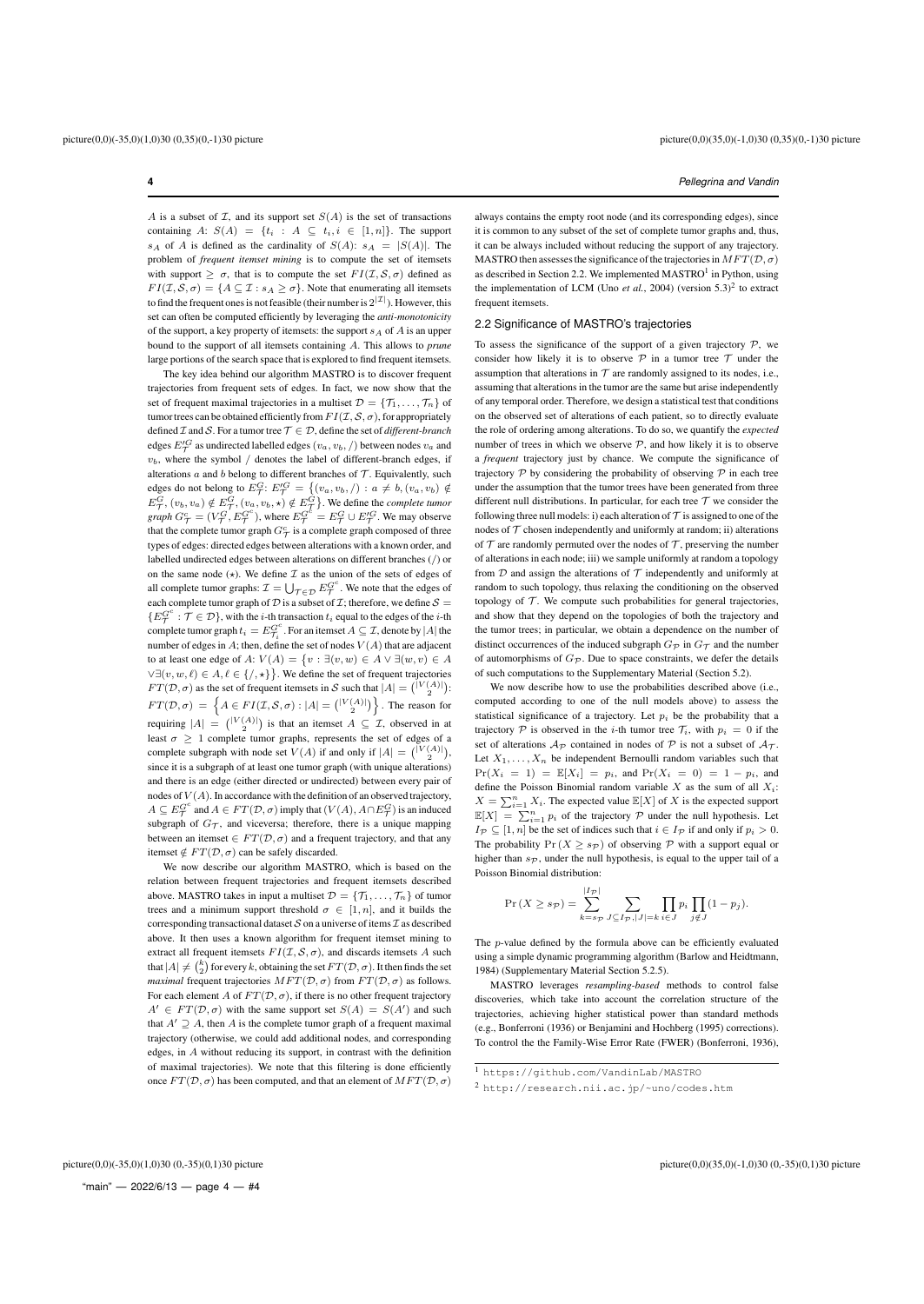A is a subset of  $I$ , and its support set  $S(A)$  is the set of transactions containing A:  $S(A) = \{t_i : A \subseteq t_i, i \in [1, n]\}.$  The support  $s_A$  of A is defined as the cardinality of  $S(A)$ :  $s_A = |S(A)|$ . The problem of *frequent itemset mining* is to compute the set of itemsets with support  $\geq \sigma$ , that is to compute the set  $FI(\mathcal{I}, \mathcal{S}, \sigma)$  defined as  $FI(\mathcal{I}, \mathcal{S}, \sigma) = \{A \subseteq \mathcal{I} : s_A > \sigma\}$ . Note that enumerating all itemsets to find the frequent ones is not feasible (their number is  $2^{|{\mathcal I}|}$ ). However, this set can often be computed efficiently by leveraging the *anti-monotonicity* of the support, a key property of itemsets: the support  $s_A$  of A is an upper bound to the support of all itemsets containing A. This allows to *prune* large portions of the search space that is explored to find frequent itemsets.

The key idea behind our algorithm MASTRO is to discover frequent trajectories from frequent sets of edges. In fact, we now show that the set of frequent maximal trajectories in a multiset  $\mathcal{D} = \{\mathcal{T}_1, \dots, \mathcal{T}_n\}$  of tumor trees can be obtained efficiently from  $FI(\mathcal{I}, \mathcal{S}, \sigma)$ , for appropriately defined  $\mathcal I$  and  $\mathcal S$ . For a tumor tree  $\mathcal T \in \mathcal D$ , define the set of *different-branch* edges  $E_{\mathcal{T}}'^G$  as undirected labelled edges  $(v_a, v_b, /)$  between nodes  $v_a$  and  $v<sub>b</sub>$ , where the symbol / denotes the label of different-branch edges, if alterations  $a$  and  $b$  belong to different branches of  $\mathcal T$ . Equivalently, such edges do not belong to  $E^G_{\mathcal{T}}$ :  $E'^G_{\mathcal{T}} = \{(v_a, v_b, /): a \neq b, (v_a, v_b) \notin$  $E_{\mathcal{T}}^G, (v_b, v_a) \notin E_{\mathcal{T}}^G, (v_a, v_b, \star) \notin E_{\mathcal{T}}^G$ . We define the *complete tumor graph*  $G^c_\mathcal{T} = (V^G_\mathcal{T}, E^{G^c}_\mathcal{T})$ , where  $E^{G^c}_\mathcal{T} = E^G_\mathcal{T} \cup E'^G_\mathcal{T}$ . We may observe that the complete tumor graph  $G^c_\mathcal{T}$  is a complete graph composed of three types of edges: directed edges between alterations with a known order, and labelled undirected edges between alterations on different branches (/) or on the same node  $(*)$ . We define  $\mathcal I$  as the union of the sets of edges of all complete tumor graphs:  $\mathcal{I} = \bigcup_{\mathcal{T} \in \mathcal{D}} E_{\mathcal{T}}^{G^c}$ . We note that the edges of each complete tumor graph of  $D$  is a subset of  $\mathcal{I}$ ; therefore, we define  $\mathcal{S} =$  $\{E_T^{G^c} : \mathcal{T} \in \mathcal{D}\}\$ , with the *i*-th transaction  $t_i$  equal to the edges of the *i*-th complete tumor graph  $t_i = E_{\mathcal{T}_i}^{G^c}$ . For an itemset  $A \subseteq \mathcal{I}$ , denote by  $|A|$  the number of edges in A; then, define the set of nodes  $V(A)$  that are adjacent to at least one edge of  $A: V(A) = \{v : \exists (v, w) \in A \lor \exists (w, v) \in A\}$  $\forall \exists (v, w, \ell) \in A, \ell \in \{/, \star\} \}$ . We define the set of frequent trajectories  $FT(D, \sigma)$  as the set of frequent itemsets in S such that  $|A| = {|\nabla(A)| \choose 2}$ :  $FT(\mathcal{D}, \sigma) = \left\{A \in FI(\mathcal{I}, \mathcal{S}, \sigma) : |A| = \binom{|V(A)|}{2} \right\}$  . The reason for requiring  $|A| = { |V(A)| \choose 2}$  is that an itemset  $A \subseteq \mathcal{I}$ , observed in at least  $\sigma \geq 1$  complete tumor graphs, represents the set of edges of a complete subgraph with node set  $V(A)$  if and only if  $|A| = { |V(A)| \choose 2},$ since it is a subgraph of at least one tumor graph (with unique alterations) and there is an edge (either directed or undirected) between every pair of nodes of  $V(A)$ . In accordance with the definition of an observed trajectory,  $A \subseteq E_{\mathcal{T}}^{G^c}$  and  $A \in FT(\mathcal{D}, \sigma)$  imply that  $(V(A), A \cap E_{\mathcal{T}}^G)$  is an induced subgraph of  $G_{\mathcal{T}}$ , and viceversa; therefore, there is a unique mapping between an itemset  $\in FT(\mathcal{D}, \sigma)$  and a frequent trajectory, and that any itemset  $\notin FT(D, \sigma)$  can be safely discarded.

We now describe our algorithm MASTRO, which is based on the relation between frequent trajectories and frequent itemsets described above. MASTRO takes in input a multiset  $\mathcal{D} = \{\mathcal{T}_1, \ldots, \mathcal{T}_n\}$  of tumor trees and a minimum support threshold  $\sigma \in [1, n]$ , and it builds the corresponding transactional dataset  $S$  on a universe of items  $\mathcal I$  as described above. It then uses a known algorithm for frequent itemset mining to extract all frequent itemsets  $FI(\mathcal{I}, \mathcal{S}, \sigma)$ , and discards itemsets A such that  $|A| \neq {k \choose 2}$  for every k, obtaining the set  $FT(\mathcal{D}, \sigma)$ . It then finds the set *maximal* frequent trajectories  $MFT(\mathcal{D}, \sigma)$  from  $FT(\mathcal{D}, \sigma)$  as follows. For each element A of  $FT(D, \sigma)$ , if there is no other frequent trajectory  $A' \in FT(\mathcal{D}, \sigma)$  with the same support set  $S(A) = S(A')$  and such that  $A' \supseteq A$ , then A is the complete tumor graph of a frequent maximal trajectory (otherwise, we could add additional nodes, and corresponding edges, in A without reducing its support, in contrast with the definition of maximal trajectories). We note that this filtering is done efficiently once  $FT(D, \sigma)$  has been computed, and that an element of  $MFT(D, \sigma)$ 

always contains the empty root node (and its corresponding edges), since it is common to any subset of the set of complete tumor graphs and, thus, it can be always included without reducing the support of any trajectory. MASTRO then assesses the significance of the trajectories in  $MFT(\mathcal{D}, \sigma)$ as described in Section 2.2. We implemented  $MASTRO<sup>1</sup>$  in Python, using the implementation of LCM (Uno *et al.*, 2004) (version  $5.3$ )<sup>2</sup> to extract frequent itemsets.

#### 2.2 Significance of MASTRO's trajectories

To assess the significance of the support of a given trajectory  $P$ , we consider how likely it is to observe  $P$  in a tumor tree  $T$  under the assumption that alterations in  $T$  are randomly assigned to its nodes, i.e., assuming that alterations in the tumor are the same but arise independently of any temporal order. Therefore, we design a statistical test that conditions on the observed set of alterations of each patient, so to directly evaluate the role of ordering among alterations. To do so, we quantify the *expected* number of trees in which we observe  $P$ , and how likely it is to observe a *frequent* trajectory just by chance. We compute the significance of trajectory  $\mathcal P$  by considering the probability of observing  $\mathcal P$  in each tree under the assumption that the tumor trees have been generated from three different null distributions. In particular, for each tree  $T$  we consider the following three null models: i) each alteration of  $T$  is assigned to one of the nodes of  $T$  chosen independently and uniformly at random; ii) alterations of  $\tau$  are randomly permuted over the nodes of  $\tau$ , preserving the number of alterations in each node; iii) we sample uniformly at random a topology from  $D$  and assign the alterations of  $T$  independently and uniformly at random to such topology, thus relaxing the conditioning on the observed topology of  $T$ . We compute such probabilities for general trajectories. and show that they depend on the topologies of both the trajectory and the tumor trees; in particular, we obtain a dependence on the number of distinct occurrences of the induced subgraph  $G_{\mathcal{D}}$  in  $G_{\mathcal{T}}$  and the number of automorphisms of  $G_{\mathcal{P}}$ . Due to space constraints, we defer the details of such computations to the Supplementary Material (Section 5.2).

We now describe how to use the probabilities described above (i.e., computed according to one of the null models above) to assess the statistical significance of a trajectory. Let  $p_i$  be the probability that a trajectory  $P$  is observed in the *i*-th tumor tree  $T_i$ , with  $p_i = 0$  if the set of alterations  $A_{\mathcal{D}}$  contained in nodes of  $\mathcal{P}$  is not a subset of  $A_{\mathcal{T}}$ . Let  $X_1, \ldots, X_n$  be independent Bernoulli random variables such that  $Pr(X_i = 1) = \mathbb{E}[X_i] = p_i$ , and  $Pr(X_i = 0) = 1 - p_i$ , and define the Poisson Binomial random variable  $X$  as the sum of all  $X_i$ :  $X = \sum_{i=1}^{n} X_i$ . The expected value  $\mathbb{E}[X]$  of X is the expected support  $\mathbb{E}[X] = \sum_{i=1}^n p_i$  of the trajectory  $P$  under the null hypothesis. Let  $I_{\mathcal{P}} \subseteq [1, n]$  be the set of indices such that  $i \in I_{\mathcal{P}}$  if and only if  $p_i > 0$ . The probability  $Pr(X \ge s_{\mathcal{P}})$  of observing  $\mathcal P$  with a support equal or higher than  $s_{\mathcal{P}}$ , under the null hypothesis, is equal to the upper tail of a Poisson Binomial distribution:

$$
\Pr(X \ge s_{\mathcal{P}}) = \sum_{k=s_{\mathcal{P}}}^{|I_{\mathcal{P}}|} \sum_{J \subseteq I_{\mathcal{P}}, |J|=k} \prod_{i \in J} p_i \prod_{j \notin J} (1-p_j).
$$

The p-value defined by the formula above can be efficiently evaluated using a simple dynamic programming algorithm (Barlow and Heidtmann, 1984) (Supplementary Material Section 5.2.5).

MASTRO leverages *resampling-based* methods to control false discoveries, which take into account the correlation structure of the trajectories, achieving higher statistical power than standard methods (e.g., Bonferroni (1936) or Benjamini and Hochberg (1995) corrections). To control the the Family-Wise Error Rate (FWER) (Bonferroni, 1936),

<sup>1</sup> https://github.com/VandinLab/MASTRO

<sup>2</sup> http://research.nii.ac.jp/~uno/codes.htm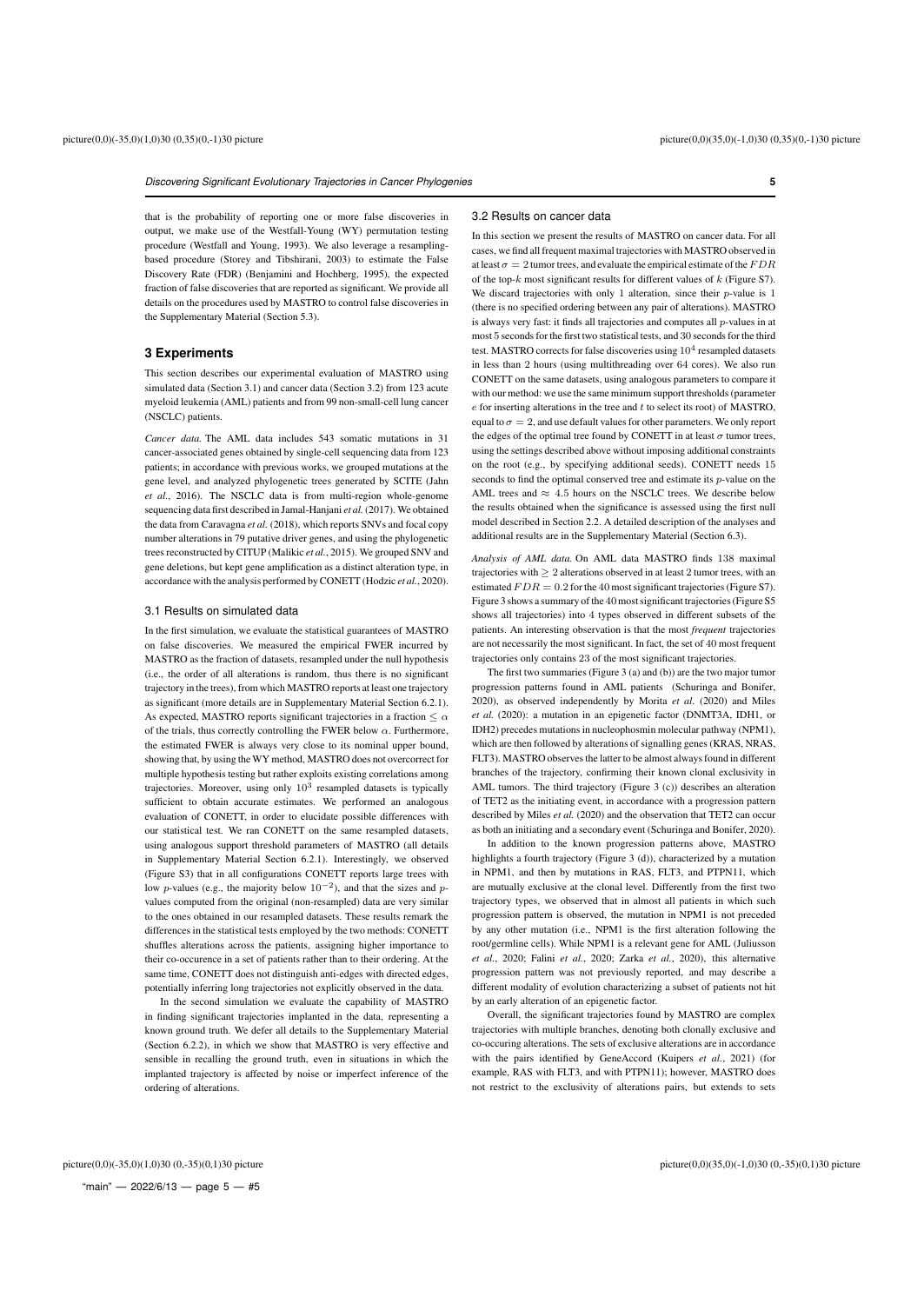that is the probability of reporting one or more false discoveries in output, we make use of the Westfall-Young (WY) permutation testing procedure (Westfall and Young, 1993). We also leverage a resamplingbased procedure (Storey and Tibshirani, 2003) to estimate the False Discovery Rate (FDR) (Benjamini and Hochberg, 1995), the expected fraction of false discoveries that are reported as significant. We provide all details on the procedures used by MASTRO to control false discoveries in the Supplementary Material (Section 5.3).

#### **3 Experiments**

This section describes our experimental evaluation of MASTRO using simulated data (Section 3.1) and cancer data (Section 3.2) from 123 acute myeloid leukemia (AML) patients and from 99 non-small-cell lung cancer (NSCLC) patients.

*Cancer data.* The AML data includes 543 somatic mutations in 31 cancer-associated genes obtained by single-cell sequencing data from 123 patients; in accordance with previous works, we grouped mutations at the gene level, and analyzed phylogenetic trees generated by SCITE (Jahn *et al.*, 2016). The NSCLC data is from multi-region whole-genome sequencing data first described in Jamal-Hanjani *et al.*(2017). We obtained the data from Caravagna *et al.* (2018), which reports SNVs and focal copy number alterations in 79 putative driver genes, and using the phylogenetic trees reconstructed by CITUP (Malikic *et al.*, 2015). We grouped SNV and gene deletions, but kept gene amplification as a distinct alteration type, in accordance with the analysis performed by CONETT (Hodzic *et al.*, 2020).

# 3.1 Results on simulated data

In the first simulation, we evaluate the statistical guarantees of MASTRO on false discoveries. We measured the empirical FWER incurred by MASTRO as the fraction of datasets, resampled under the null hypothesis (i.e., the order of all alterations is random, thus there is no significant trajectory in the trees), from which MASTRO reports at least one trajectory as significant (more details are in Supplementary Material Section 6.2.1). As expected, MASTRO reports significant trajectories in a fraction  $\leq \alpha$ of the trials, thus correctly controlling the FWER below  $\alpha$ . Furthermore, the estimated FWER is always very close to its nominal upper bound, showing that, by using the WY method, MASTRO does not overcorrect for multiple hypothesis testing but rather exploits existing correlations among trajectories. Moreover, using only  $10^3$  resampled datasets is typically sufficient to obtain accurate estimates. We performed an analogous evaluation of CONETT, in order to elucidate possible differences with our statistical test. We ran CONETT on the same resampled datasets, using analogous support threshold parameters of MASTRO (all details in Supplementary Material Section 6.2.1). Interestingly, we observed (Figure S3) that in all configurations CONETT reports large trees with low p-values (e.g., the majority below  $10^{-2}$ ), and that the sizes and pvalues computed from the original (non-resampled) data are very similar to the ones obtained in our resampled datasets. These results remark the differences in the statistical tests employed by the two methods: CONETT shuffles alterations across the patients, assigning higher importance to their co-occurence in a set of patients rather than to their ordering. At the same time, CONETT does not distinguish anti-edges with directed edges, potentially inferring long trajectories not explicitly observed in the data.

In the second simulation we evaluate the capability of MASTRO in finding significant trajectories implanted in the data, representing a known ground truth. We defer all details to the Supplementary Material (Section 6.2.2), in which we show that MASTRO is very effective and sensible in recalling the ground truth, even in situations in which the implanted trajectory is affected by noise or imperfect inference of the ordering of alterations.

#### 3.2 Results on cancer data

In this section we present the results of MASTRO on cancer data. For all cases, we find all frequent maximal trajectories with MASTRO observed in at least  $\sigma=2$  tumor trees, and evaluate the empirical estimate of the  $FDR$ of the top- $k$  most significant results for different values of  $k$  (Figure S7). We discard trajectories with only 1 alteration, since their  $p$ -value is 1 (there is no specified ordering between any pair of alterations). MASTRO is always very fast: it finds all trajectories and computes all p-values in at most 5 seconds for the first two statistical tests, and 30 seconds for the third test. MASTRO corrects for false discoveries using  $10^4$  resampled datasets in less than 2 hours (using multithreading over 64 cores). We also run CONETT on the same datasets, using analogous parameters to compare it with our method: we use the same minimum support thresholds (parameter  $e$  for inserting alterations in the tree and  $t$  to select its root) of MASTRO, equal to  $\sigma = 2$ , and use default values for other parameters. We only report the edges of the optimal tree found by CONETT in at least  $\sigma$  tumor trees. using the settings described above without imposing additional constraints on the root (e.g., by specifying additional seeds). CONETT needs 15 seconds to find the optimal conserved tree and estimate its p-value on the AML trees and  $\approx 4.5$  hours on the NSCLC trees. We describe below the results obtained when the significance is assessed using the first null model described in Section 2.2. A detailed description of the analyses and additional results are in the Supplementary Material (Section 6.3).

*Analysis of AML data.* On AML data MASTRO finds 138 maximal trajectories with  $\geq 2$  alterations observed in at least 2 tumor trees, with an estimated  $FDR = 0.2$  for the 40 most significant trajectories (Figure S7). Figure 3 shows a summary of the 40most significant trajectories (Figure S5 shows all trajectories) into 4 types observed in different subsets of the patients. An interesting observation is that the most *frequent* trajectories are not necessarily the most significant. In fact, the set of 40 most frequent trajectories only contains 23 of the most significant trajectories.

The first two summaries (Figure 3 (a) and (b)) are the two major tumor progression patterns found in AML patients (Schuringa and Bonifer, 2020), as observed independently by Morita *et al.* (2020) and Miles *et al.* (2020): a mutation in an epigenetic factor (DNMT3A, IDH1, or IDH2) precedes mutations in nucleophosmin molecular pathway (NPM1), which are then followed by alterations of signalling genes (KRAS, NRAS, FLT3). MASTRO observes the latter to be almost always found in different branches of the trajectory, confirming their known clonal exclusivity in AML tumors. The third trajectory (Figure 3 (c)) describes an alteration of TET2 as the initiating event, in accordance with a progression pattern described by Miles *et al.* (2020) and the observation that TET2 can occur as both an initiating and a secondary event (Schuringa and Bonifer, 2020).

In addition to the known progression patterns above, MASTRO highlights a fourth trajectory (Figure 3 (d)), characterized by a mutation in NPM1, and then by mutations in RAS, FLT3, and PTPN11, which are mutually exclusive at the clonal level. Differently from the first two trajectory types, we observed that in almost all patients in which such progression pattern is observed, the mutation in NPM1 is not preceded by any other mutation (i.e., NPM1 is the first alteration following the root/germline cells). While NPM1 is a relevant gene for AML (Juliusson *et al.*, 2020; Falini *et al.*, 2020; Zarka *et al.*, 2020), this alternative progression pattern was not previously reported, and may describe a different modality of evolution characterizing a subset of patients not hit by an early alteration of an epigenetic factor.

Overall, the significant trajectories found by MASTRO are complex trajectories with multiple branches, denoting both clonally exclusive and co-occuring alterations. The sets of exclusive alterations are in accordance with the pairs identified by GeneAccord (Kuipers *et al.*, 2021) (for example, RAS with FLT3, and with PTPN11); however, MASTRO does not restrict to the exclusivity of alterations pairs, but extends to sets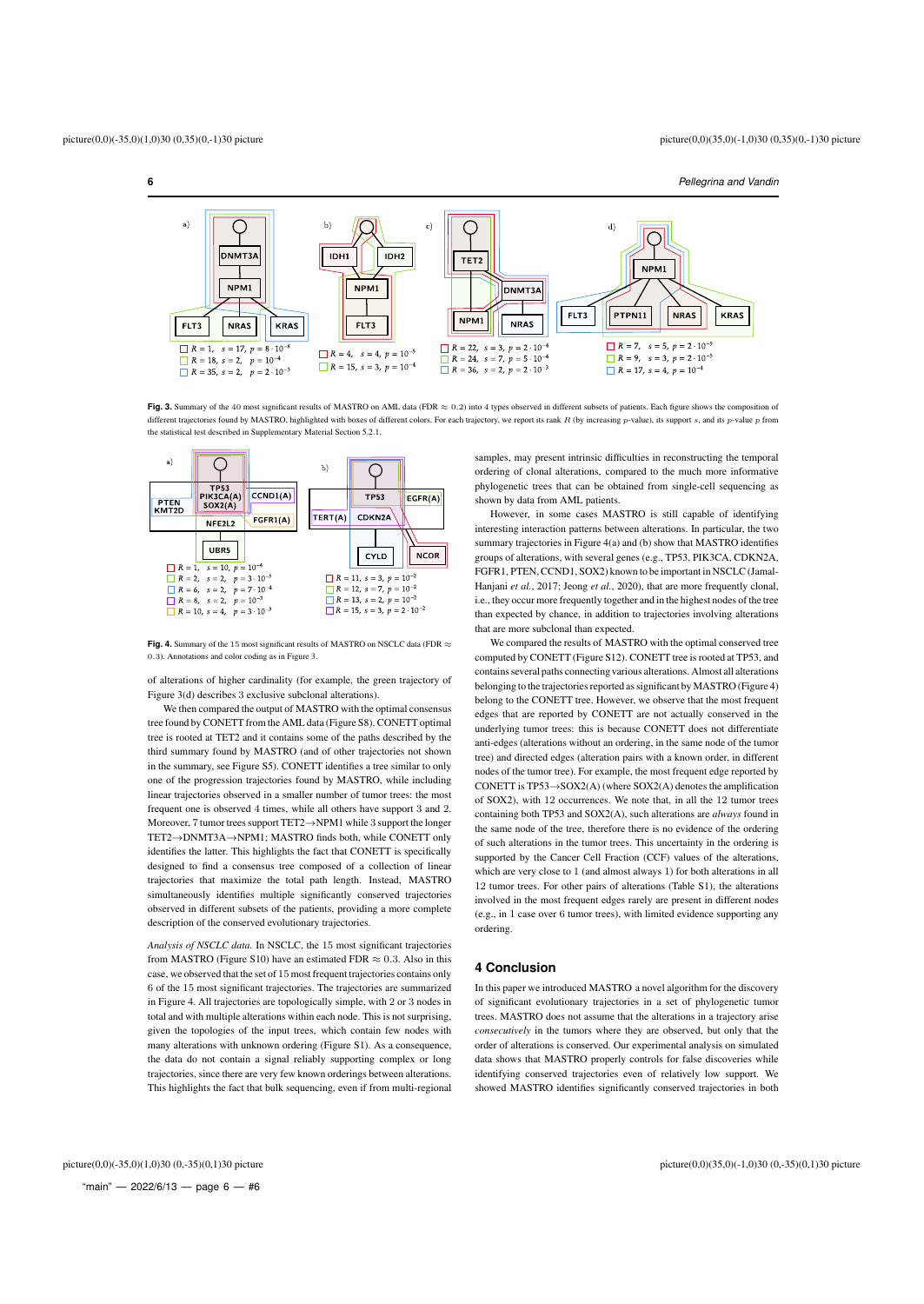**6** *Pellegrina and Vandin*



**Fig. 3.** Summary of the 40 most significant results of MASTRO on AML data (FDR ≈ 0.2) into 4 types observed in different subsets of patients. Each figure shows the composition of different trajectories found by MASTRO, highlighted with boxes of different colors. For each trajectory, we report its rank  $R$  (by increasing  $p$ -value), its support  $s$ , and its  $p$ -value  $p$  from the statistical test described in Supplementary Material Section 5.2.1.



**Fig. 4.** Summary of the 15 most significant results of MASTRO on NSCLC data (FDR ≈ 0.3). Annotations and color coding as in Figure 3.

of alterations of higher cardinality (for example, the green trajectory of Figure 3(d) describes 3 exclusive subclonal alterations).

We then compared the output of MASTRO with the optimal consensus tree found by CONETT from the AML data (Figure S8). CONETT optimal tree is rooted at TET2 and it contains some of the paths described by the third summary found by MASTRO (and of other trajectories not shown in the summary, see Figure S5). CONETT identifies a tree similar to only one of the progression trajectories found by MASTRO, while including linear trajectories observed in a smaller number of tumor trees: the most frequent one is observed 4 times, while all others have support 3 and 2. Moreover, 7 tumor trees support TET2→NPM1 while 3 support the longer TET2→DNMT3A→NPM1; MASTRO finds both, while CONETT only identifies the latter. This highlights the fact that CONETT is specifically designed to find a consensus tree composed of a collection of linear trajectories that maximize the total path length. Instead, MASTRO simultaneously identifies multiple significantly conserved trajectories observed in different subsets of the patients, providing a more complete description of the conserved evolutionary trajectories.

*Analysis of NSCLC data.* In NSCLC, the 15 most significant trajectories from MASTRO (Figure S10) have an estimated FDR  $\approx 0.3$ . Also in this case, we observed that the set of 15 most frequent trajectories contains only 6 of the 15 most significant trajectories. The trajectories are summarized in Figure 4. All trajectories are topologically simple, with 2 or 3 nodes in total and with multiple alterations within each node. This is not surprising, given the topologies of the input trees, which contain few nodes with many alterations with unknown ordering (Figure S1). As a consequence, the data do not contain a signal reliably supporting complex or long trajectories, since there are very few known orderings between alterations. This highlights the fact that bulk sequencing, even if from multi-regional

samples, may present intrinsic difficulties in reconstructing the temporal ordering of clonal alterations, compared to the much more informative phylogenetic trees that can be obtained from single-cell sequencing as shown by data from AML patients.

However, in some cases MASTRO is still capable of identifying interesting interaction patterns between alterations. In particular, the two summary trajectories in Figure 4(a) and (b) show that MASTRO identifies groups of alterations, with several genes (e.g., TP53, PIK3CA, CDKN2A, FGFR1, PTEN, CCND1, SOX2) known to be important in NSCLC (Jamal-Hanjani *et al.*, 2017; Jeong *et al.*, 2020), that are more frequently clonal, i.e., they occur more frequently together and in the highest nodes of the tree than expected by chance, in addition to trajectories involving alterations that are more subclonal than expected.

We compared the results of MASTRO with the optimal conserved tree computed by CONETT (Figure S12). CONETT tree is rooted at TP53, and contains several paths connecting various alterations. Almost all alterations belonging to the trajectories reported as significant by MASTRO (Figure 4) belong to the CONETT tree. However, we observe that the most frequent edges that are reported by CONETT are not actually conserved in the underlying tumor trees: this is because CONETT does not differentiate anti-edges (alterations without an ordering, in the same node of the tumor tree) and directed edges (alteration pairs with a known order, in different nodes of the tumor tree). For example, the most frequent edge reported by CONETT is TP53→SOX2(A) (where SOX2(A) denotes the amplification of SOX2), with 12 occurrences. We note that, in all the 12 tumor trees containing both TP53 and SOX2(A), such alterations are *always* found in the same node of the tree, therefore there is no evidence of the ordering of such alterations in the tumor trees. This uncertainty in the ordering is supported by the Cancer Cell Fraction (CCF) values of the alterations, which are very close to 1 (and almost always 1) for both alterations in all 12 tumor trees. For other pairs of alterations (Table S1), the alterations involved in the most frequent edges rarely are present in different nodes (e.g., in 1 case over 6 tumor trees), with limited evidence supporting any ordering.

# **4 Conclusion**

In this paper we introduced MASTRO a novel algorithm for the discovery of significant evolutionary trajectories in a set of phylogenetic tumor trees. MASTRO does not assume that the alterations in a trajectory arise *consecutively* in the tumors where they are observed, but only that the order of alterations is conserved. Our experimental analysis on simulated data shows that MASTRO properly controls for false discoveries while identifying conserved trajectories even of relatively low support. We showed MASTRO identifies significantly conserved trajectories in both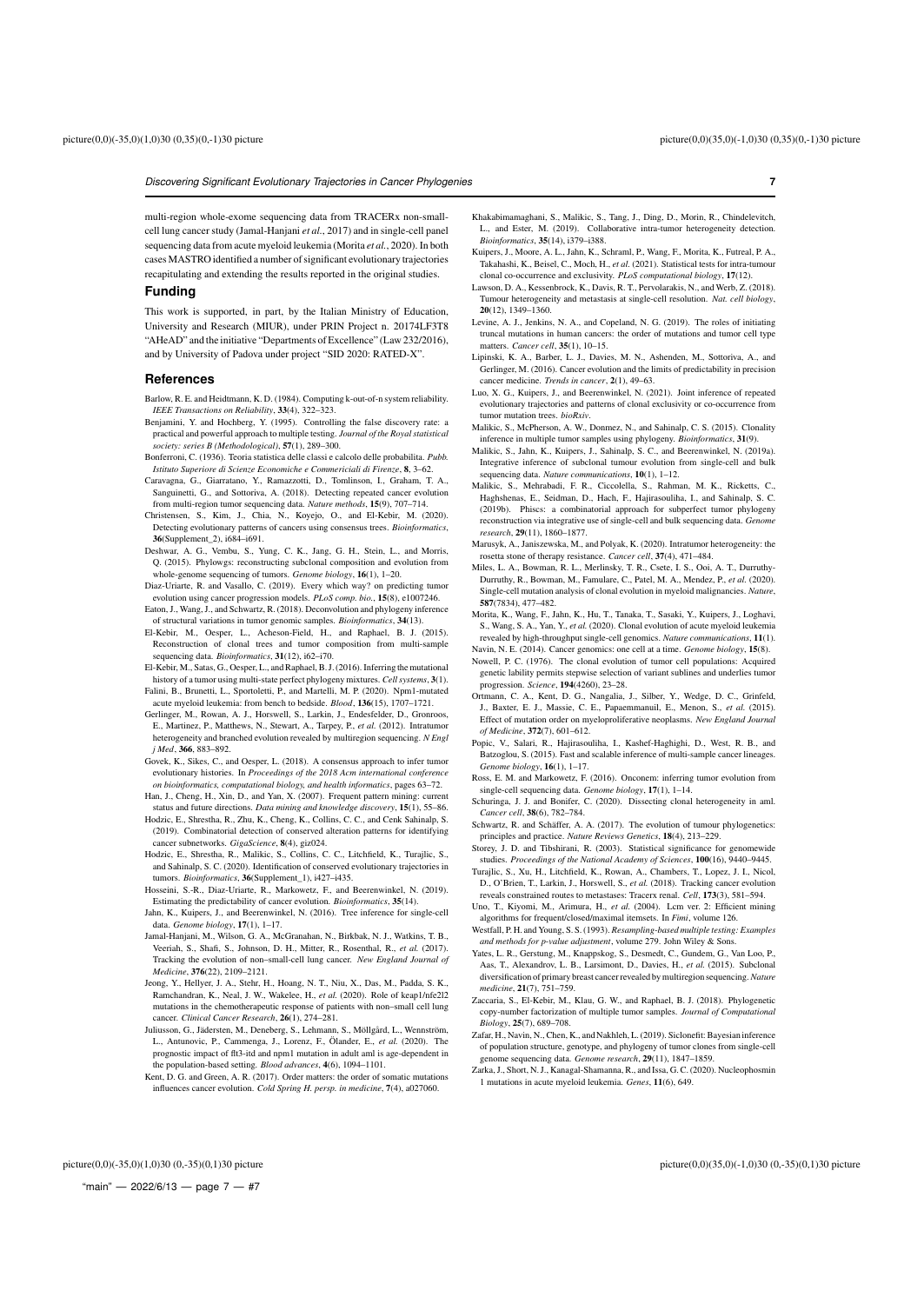multi-region whole-exome sequencing data from TRACERx non-smallcell lung cancer study (Jamal-Hanjani *et al.*, 2017) and in single-cell panel sequencing data from acute myeloid leukemia (Morita *et al.*, 2020). In both cases MASTRO identified a number of significant evolutionary trajectories recapitulating and extending the results reported in the original studies.

# **Funding**

This work is supported, in part, by the Italian Ministry of Education, University and Research (MIUR), under PRIN Project n. 20174LF3T8 "AHeAD" and the initiative "Departments of Excellence" (Law 232/2016), and by University of Padova under project "SID 2020: RATED-X".

#### **References**

- Barlow, R. E. and Heidtmann, K. D. (1984). Computing k-out-of-n system reliability. *IEEE Transactions on Reliability*, 33(4), 322–323.
- Benjamini, Y. and Hochberg, Y. (1995). Controlling the false discovery rate: a practical and powerful approach to multiple testing. *Journal of the Royal statistical society: series B (Methodological)*, 57(1), 289–300.
- Bonferroni, C. (1936). Teoria statistica delle classi e calcolo delle probabilita. *Pubb. Istituto Superiore di Scienze Economiche e Commericiali di Firenze*, 8, 3–62.
- Caravagna, G., Giarratano, Y., Ramazzotti, D., Tomlinson, I., Graham, T. A., Sanguinetti, G., and Sottoriva, A. (2018). Detecting repeated cancer evolution from multi-region tumor sequencing data. *Nature methods*, 15(9), 707–714.
- Christensen, S., Kim, J., Chia, N., Koyejo, O., and El-Kebir, M. (2020). Detecting evolutionary patterns of cancers using consensus trees. *Bioinformatics*, 36(Supplement\_2), i684–i691.
- Deshwar, A. G., Vembu, S., Yung, C. K., Jang, G. H., Stein, L., and Morris, Q. (2015). Phylowgs: reconstructing subclonal composition and evolution from whole-genome sequencing of tumors. *Genome biology*, 16(1), 1–20.
- Diaz-Uriarte, R. and Vasallo, C. (2019). Every which way? on predicting tumor evolution using cancer progression models. *PLoS comp. bio.*, 15(8), e1007246. Eaton, J., Wang, J., and Schwartz, R. (2018). Deconvolution and phylogeny inference
- of structural variations in tumor genomic samples. *Bioinformatics*, 34(13). El-Kebir, M., Oesper, L., Acheson-Field, H., and Raphael, B. J. (2015). Reconstruction of clonal trees and tumor composition from multi-sample sequencing data. *Bioinformatics*, 31(12), i62–i70.
- El-Kebir, M., Satas, G., Oesper, L., and Raphael, B. J. (2016). Inferring the mutational history of a tumor using multi-state perfect phylogeny mixtures. *Cell systems*, 3(1). Falini, B., Brunetti, L., Sportoletti, P., and Martelli, M. P. (2020). Npm1-mutated
- acute myeloid leukemia: from bench to bedside. *Blood*, 136(15), 1707–1721. Gerlinger, M., Rowan, A. J., Horswell, S., Larkin, J., Endesfelder, D., Gronroos, E., Martinez, P., Matthews, N., Stewart, A., Tarpey, P., *et al.* (2012). Intratumor
- heterogeneity and branched evolution revealed by multiregion sequencing. *N Engl j Med*, 366, 883–892. Govek, K., Sikes, C., and Oesper, L. (2018). A consensus approach to infer tumor
- evolutionary histories. In *Proceedings of the 2018 Acm international conference on bioinformatics, computational biology, and health informatics*, pages 63–72. Han, J., Cheng, H., Xin, D., and Yan, X. (2007). Frequent pattern mining: current
- status and future directions. *Data mining and knowledge discovery*, 15(1), 55–86. Hodzic, E., Shrestha, R., Zhu, K., Cheng, K., Collins, C. C., and Cenk Sahinalp, S. (2019). Combinatorial detection of conserved alteration patterns for identifying
- cancer subnetworks. *GigaScience*, 8(4), giz024. Hodzic, E., Shrestha, R., Malikic, S., Collins, C. C., Litchfield, K., Turajlic, S., and Sahinalp, S. C. (2020). Identification of conserved evolutionary trajectories in
- tumors. *Bioinformatics*, 36(Supplement\_1), i427–i435. Hosseini, S.-R., Diaz-Uriarte, R., Markowetz, F., and Beerenwinkel, N. (2019). Estimating the predictability of cancer evolution. *Bioinformatics*, 35(14).
- Jahn, K., Kuipers, J., and Beerenwinkel, N. (2016). Tree inference for single-cell data. *Genome biology*, 17(1), 1–17.
- Jamal-Hanjani, M., Wilson, G. A., McGranahan, N., Birkbak, N. J., Watkins, T. B., Veeriah, S., Shafi, S., Johnson, D. H., Mitter, R., Rosenthal, R., *et al.* (2017). Tracking the evolution of non–small-cell lung cancer. *New England Journal of Medicine*, 376(22), 2109–2121.
- Jeong, Y., Hellyer, J. A., Stehr, H., Hoang, N. T., Niu, X., Das, M., Padda, S. K., Ramchandran, K., Neal, J. W., Wakelee, H., *et al.* (2020). Role of keap1/nfe2l2 mutations in the chemotherapeutic response of patients with non–small cell lung cancer. *Clinical Cancer Research*, 26(1), 274–281.
- Juliusson, G., Jädersten, M., Deneberg, S., Lehmann, S., Möllgård, L., Wennström, L., Antunovic, P., Cammenga, J., Lorenz, F., Ölander, E., *et al.* (2020). The prognostic impact of flt3-itd and npm1 mutation in adult aml is age-dependent in the population-based setting. *Blood advances*, 4(6), 1094–1101.
- Kent, D. G. and Green, A. R. (2017). Order matters: the order of somatic mutations influences cancer evolution. *Cold Spring H. persp. in medicine*, 7(4), a027060.
- Khakabimamaghani, S., Malikic, S., Tang, J., Ding, D., Morin, R., Chindelevitch, L., and Ester, M. (2019). Collaborative intra-tumor heterogeneity detection. *Bioinformatics*, 35(14), i379–i388.
- Kuipers, J., Moore, A. L., Jahn, K., Schraml, P., Wang, F., Morita, K., Futreal, P. A., Takahashi, K., Beisel, C., Moch, H., *et al.* (2021). Statistical tests for intra-tumour clonal co-occurrence and exclusivity. *PLoS computational biology*, 17(12).
- Lawson, D. A., Kessenbrock, K., Davis, R. T., Pervolarakis, N., and Werb, Z. (2018). Tumour heterogeneity and metastasis at single-cell resolution. *Nat. cell biology*, 20(12), 1349–1360.
- Levine, A. J., Jenkins, N. A., and Copeland, N. G. (2019). The roles of initiating truncal mutations in human cancers: the order of mutations and tumor cell type matters. *Cancer cell*, 35(1), 10–15.
- Lipinski, K. A., Barber, L. J., Davies, M. N., Ashenden, M., Sottoriva, A., and Gerlinger, M. (2016). Cancer evolution and the limits of predictability in precision cancer medicine. *Trends in cancer*, 2(1), 49–63.
- Luo, X. G., Kuipers, J., and Beerenwinkel, N. (2021). Joint inference of repeated evolutionary trajectories and patterns of clonal exclusivity or co-occurrence from tumor mutation trees. *bioRxiv*.
- Malikic, S., McPherson, A. W., Donmez, N., and Sahinalp, C. S. (2015). Clonality inference in multiple tumor samples using phylogeny. *Bioinformatics*, 31(9).
- Malikic, S., Jahn, K., Kuipers, J., Sahinalp, S. C., and Beerenwinkel, N. (2019a). Integrative inference of subclonal tumour evolution from single-cell and bulk sequencing data. *Nature communications*, 10(1), 1–12.
- Malikic, S., Mehrabadi, F. R., Ciccolella, S., Rahman, M. K., Ricketts, C., Haghshenas, E., Seidman, D., Hach, F., Hajirasouliha, I., and Sahinalp, S. C. (2019b). Phiscs: a combinatorial approach for subperfect tumor phylogeny reconstruction via integrative use of single-cell and bulk sequencing data. Geno *research*, 29(11), 1860–1877.
- Marusyk, A., Janiszewska, M., and Polyak, K. (2020). Intratumor heterogeneity: the rosetta stone of therapy resistance. *Cancer cell*, 37(4), 471–484.
- Miles, L. A., Bowman, R. L., Merlinsky, T. R., Csete, I. S., Ooi, A. T., Durruthy-Durruthy, R., Bowman, M., Famulare, C., Patel, M. A., Mendez, P., *et al.* (2020). Single-cell mutation analysis of clonal evolution in myeloid malignancies. *Nature*, 587(7834), 477–482.
- Morita, K., Wang, F., Jahn, K., Hu, T., Tanaka, T., Sasaki, Y., Kuipers, J., Loghavi, S., Wang, S. A., Yan, Y., *et al.* (2020). Clonal evolution of acute myeloid leukemia revealed by high-throughput single-cell genomics. *Nature communications*, 11(1).
- Navin, N. E. (2014). Cancer genomics: one cell at a time. *Genome biology*, 15(8). Nowell, P. C. (1976). The clonal evolution of tumor cell populations: Acquired genetic lability permits stepwise selection of variant sublines and underlies tumor progression. *Science*, 194(4260), 23–28.
- Ortmann, C. A., Kent, D. G., Nangalia, J., Silber, Y., Wedge, D. C., Grinfeld, J., Baxter, E. J., Massie, C. E., Papaemmanuil, E., Menon, S., *et al.* (2015). Effect of mutation order on myeloproliferative neoplasms. *New England Journal of Medicine*, 372(7), 601–612.
- Popic, V., Salari, R., Hajirasouliha, I., Kashef-Haghighi, D., West, R. B., and Batzoglou, S. (2015). Fast and scalable inference of multi-sample cancer lineages. *Genome biology*, 16(1), 1–17.
- Ross, E. M. and Markowetz, F. (2016). Onconem: inferring tumor evolution from single-cell sequencing data. *Genome biology*, 17(1), 1–14.
- Schuringa, J. J. and Bonifer, C. (2020). Dissecting clonal heterogeneity in aml. *Cancer cell*, 38(6), 782–784.
- Schwartz, R. and Schäffer, A. A. (2017). The evolution of tumour phylogenetics: principles and practice. *Nature Reviews Genetics*, 18(4), 213–229.
- Storey, J. D. and Tibshirani, R. (2003). Statistical significance for genomewide studies. *Proceedings of the National Academy of Sciences*, 100(16), 9440–9445.
- Turajlic, S., Xu, H., Litchfield, K., Rowan, A., Chambers, T., Lopez, J. I., Nicol, D., O'Brien, T., Larkin, J., Horswell, S., *et al.* (2018). Tracking cancer evolution reveals constrained routes to metastases: Tracerx renal. *Cell*, 173(3), 581–594.
- Uno, T., Kiyomi, M., Arimura, H., *et al.* (2004). Lcm ver. 2: Efficient mining algorithms for frequent/closed/maximal itemsets. In *Fimi*, volume 126.
- Westfall, P. H. and Young, S. S. (1993). *Resampling-based multiple testing: Examples and methods for p-value adjustment*, volume 279. John Wiley & Sons.
- Yates, L. R., Gerstung, M., Knappskog, S., Desmedt, C., Gundem, G., Van Loo, P., Aas, T., Alexandrov, L. B., Larsimont, D., Davies, H., *et al.* (2015). Subclonal diversification of primary breast cancer revealed by multiregion sequencing. *Nature medicine*, 21(7), 751–759.
- Zaccaria, S., El-Kebir, M., Klau, G. W., and Raphael, B. J. (2018). Phylogenetic copy-number factorization of multiple tumor samples. *Journal of Comp Biology*, 25(7), 689–708.
- Zafar, H., Navin, N., Chen, K., and Nakhleh, L. (2019). Siclonefit: Bayesian inference of population structure, genotype, and phylogeny of tumor clones from single-cell genome sequencing data. *Genome research*, 29(11), 1847–1859.
- Zarka, J., Short, N. J., Kanagal-Shamanna, R., and Issa, G. C. (2020). Nucleophosmin 1 mutations in acute myeloid leukemia. *Genes*, 11(6), 649.

"main" — 2022/6/13 — page  $7 - #7$ 

picture(0,0)(-35,0)(1,0)30 (0,-35)(0,1)30 picture picture(0,0)(35,0)(-1,0)30 (0,-35)(0,1)30 picture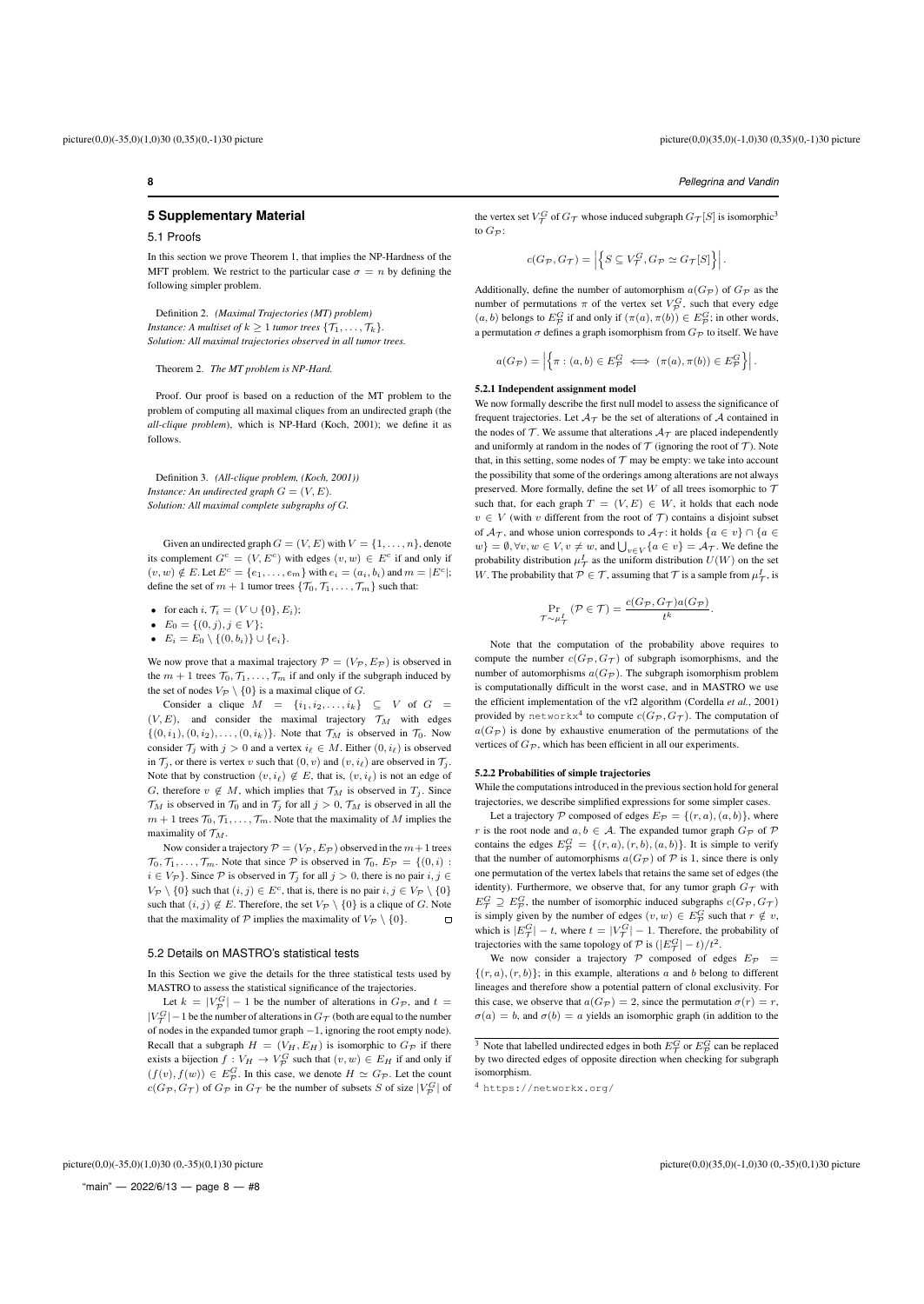# **5 Supplementary Material**

# 5.1 Proofs

In this section we prove Theorem 1, that implies the NP-Hardness of the MFT problem. We restrict to the particular case  $\sigma = n$  by defining the following simpler problem.

Definition 2. *(Maximal Trajectories (MT) problem) Instance: A multiset of*  $k > 1$  *tumor trees*  $\{T_1, \ldots, T_k\}$ . *Solution: All maximal trajectories observed in all tumor trees.*

#### Theorem 2. *The MT problem is NP-Hard.*

Proof. Our proof is based on a reduction of the MT problem to the problem of computing all maximal cliques from an undirected graph (the *all-clique problem*), which is NP-Hard (Koch, 2001); we define it as follows.

Definition 3. *(All-clique problem, (Koch, 2001)) Instance: An undirected graph*  $G = (V, E)$ *. Solution: All maximal complete subgraphs of* G*.*

Given an undirected graph  $G = (V, E)$  with  $V = \{1, \ldots, n\}$ , denote its complement  $G^c = (V, E^c)$  with edges  $(v, w) \in E^c$  if and only if  $(v, w) \notin E$ . Let  $E^c = \{e_1, \ldots, e_m\}$  with  $e_i = (a_i, b_i)$  and  $m = |E^c|$ ; define the set of  $m + 1$  tumor trees  $\{\mathcal{T}_0, \mathcal{T}_1, \ldots, \mathcal{T}_m\}$  such that:

• for each  $i, \mathcal{T}_i = (V \cup \{0\}, E_i);$ 

•  $E_0 = \{(0, j), j \in V\};$ 

•  $E_i = E_0 \setminus \{(0, b_i)\} \cup \{e_i\}.$ 

We now prove that a maximal trajectory  $\mathcal{P} = (V_{\mathcal{P}}, E_{\mathcal{P}})$  is observed in the  $m + 1$  trees  $\mathcal{T}_0, \mathcal{T}_1, \ldots, \mathcal{T}_m$  if and only if the subgraph induced by the set of nodes  $V_P \setminus \{0\}$  is a maximal clique of G.

Consider a clique  $M = \{i_1, i_2, \ldots, i_k\} \subseteq V$  of  $G =$  $(V, E)$ , and consider the maximal trajectory  $\mathcal{T}_M$  with edges  $\{(0, i_1), (0, i_2), \ldots, (0, i_k)\}\)$ . Note that  $\mathcal{T}_M$  is observed in  $\mathcal{T}_0$ . Now consider  $\mathcal{T}_j$  with  $j > 0$  and a vertex  $i_\ell \in M$ . Either  $(0, i_\ell)$  is observed in  $\mathcal{T}_i$ , or there is vertex v such that  $(0, v)$  and  $(v, i_\ell)$  are observed in  $\mathcal{T}_i$ . Note that by construction  $(v, i_\ell) \notin E$ , that is,  $(v, i_\ell)$  is not an edge of G, therefore  $v \notin M$ , which implies that  $\mathcal{T}_M$  is observed in  $T_j$ . Since  $\mathcal{T}_M$  is observed in  $\mathcal{T}_0$  and in  $\mathcal{T}_i$  for all  $j > 0$ ,  $\mathcal{T}_M$  is observed in all the  $m + 1$  trees  $\mathcal{T}_0, \mathcal{T}_1, \ldots, \mathcal{T}_m$ . Note that the maximality of M implies the maximality of  $\mathcal{T}_M$ .

Now consider a trajectory  $P = (V_P, E_P)$  observed in the  $m+1$  trees  $\mathcal{T}_0, \mathcal{T}_1, \ldots, \mathcal{T}_m$ . Note that since  $\mathcal P$  is observed in  $\mathcal{T}_0, E_{\mathcal P} = \{(0, i) :$  $i \in V_{\mathcal{P}}$ . Since  $\mathcal P$  is observed in  $\mathcal T_j$  for all  $j > 0$ , there is no pair  $i, j \in$  $V_P \setminus \{0\}$  such that  $(i, j) \in E^c$ , that is, there is no pair  $i, j \in V_P \setminus \{0\}$ such that  $(i, j) \notin E$ . Therefore, the set  $V_{\mathcal{P}} \setminus \{0\}$  is a clique of G. Note that the maximality of P implies the maximality of  $V_{\mathcal{P}} \setminus \{0\}.$  $\Box$ 

#### 5.2 Details on MASTRO's statistical tests

In this Section we give the details for the three statistical tests used by MASTRO to assess the statistical significance of the trajectories.

Let  $k = |V^G_{\mathcal{P}}| - 1$  be the number of alterations in  $G_{\mathcal{P}}$ , and  $t =$  $|V^G_\mathcal{T}|-1$  be the number of alterations in  $G_\mathcal{T}$  (both are equal to the number of nodes in the expanded tumor graph −1, ignoring the root empty node). Recall that a subgraph  $H = (V_H, E_H)$  is isomorphic to  $G_{\mathcal{P}}$  if there exists a bijection  $f: V_H \to V_P^G$  such that  $(v, w) \in E_H$  if and only if  $(f(v), f(w)) \in E^G_{\mathcal{P}}$ . In this case, we denote  $H \simeq G_{\mathcal{P}}$ . Let the count  $c(G_{\mathcal{P}}, G_{\mathcal{T}})$  of  $G_{\mathcal{P}}$  in  $G_{\mathcal{T}}$  be the number of subsets S of size  $|V_{\mathcal{P}}^G|$  of

the vertex set  $V^G_{\mathcal{T}}$  of  $G_{\mathcal{T}}$  whose induced subgraph  $G_{\mathcal{T}}[S]$  is isomorphic<sup>3</sup> to  $G_{\mathcal{P}}$ :

$$
c(G_{\mathcal{P}}, G_{\mathcal{T}}) = \left| \left\{ S \subseteq V_{\mathcal{T}}^G, G_{\mathcal{P}} \simeq G_{\mathcal{T}}[S] \right\} \right|.
$$

Additionally, define the number of automorphism  $a(G_{\mathcal{P}})$  of  $G_{\mathcal{P}}$  as the number of permutations  $\pi$  of the vertex set  $V_{\mathcal{P}}^G$ , such that every edge  $(a, b)$  belongs to  $E^G_{\mathcal{P}}$  if and only if  $(\pi(a), \pi(b)) \in E^G_{\mathcal{P}}$ ; in other words, a permutation  $\sigma$  defines a graph isomorphism from  $G_{\mathcal P}$  to itself. We have

$$
a(G_{\mathcal{P}}) = \left| \left\{ \pi : (a, b) \in E_{\mathcal{P}}^G \iff (\pi(a), \pi(b)) \in E_{\mathcal{P}}^G \right\} \right|.
$$

#### 5.2.1 Independent assignment model

We now formally describe the first null model to assess the significance of frequent trajectories. Let  $A_T$  be the set of alterations of A contained in the nodes of  $\mathcal T$ . We assume that alterations  $\mathcal A_{\mathcal T}$  are placed independently and uniformly at random in the nodes of  $T$  (ignoring the root of  $T$ ). Note that, in this setting, some nodes of  $T$  may be empty: we take into account the possibility that some of the orderings among alterations are not always preserved. More formally, define the set W of all trees isomorphic to  $\mathcal T$ such that, for each graph  $T = (V, E) \in W$ , it holds that each node  $v \in V$  (with v different from the root of  $\mathcal{T}$ ) contains a disjoint subset of  $A_{\mathcal{T}}$ , and whose union corresponds to  $A_{\mathcal{T}}$ : it holds  $\{a \in v\} \cap \{a \in$  $w\} = \emptyset, \forall v, w \in V, v \neq w$ , and  $\bigcup_{v \in V} \{a \in v\} = \mathcal{A}_{\mathcal{T}}$ . We define the probability distribution  $\mu^I_{\mathcal{T}}$  as the uniform distribution  $U(W)$  on the set W. The probability that  $P \in \mathcal{T}$ , assuming that  $\mathcal T$  is a sample from  $\mu^I_{\mathcal T}$ , is

$$
\Pr_{\mathcal{T} \sim \mu_{\mathcal{T}}^{I}} (\mathcal{P} \in \mathcal{T}) = \frac{c(G_{\mathcal{P}}, G_{\mathcal{T}}) a(G_{\mathcal{P}})}{t^{k}}.
$$

Note that the computation of the probability above requires to compute the number  $c(G_{\mathcal{P}}, G_{\mathcal{T}})$  of subgraph isomorphisms, and the number of automorphisms  $a(G_{\mathcal{P}})$ . The subgraph isomorphism problem is computationally difficult in the worst case, and in MASTRO we use the efficient implementation of the vf2 algorithm (Cordella *et al.*, 2001) provided by  $\texttt{networkx}^4$  to compute  $c(G_\mathcal{P}, G_\mathcal{T}).$  The computation of  $a(G_{\mathcal{P}})$  is done by exhaustive enumeration of the permutations of the vertices of  $G_{\mathcal{P}}$ , which has been efficient in all our experiments.

# 5.2.2 Probabilities of simple trajectories

While the computations introduced in the previous section hold for general trajectories, we describe simplified expressions for some simpler cases.

Let a trajectory  $P$  composed of edges  $E_P = \{(r, a), (a, b)\}\$ , where r is the root node and  $a, b \in A$ . The expanded tumor graph  $G_{\mathcal{P}}$  of  $\mathcal{P}$ contains the edges  $E^G_{\mathcal{P}} = \{(r, a), (r, b), (a, b)\}\.$  It is simple to verify that the number of automorphisms  $a(G_{\mathcal{P}})$  of  $\mathcal P$  is 1, since there is only one permutation of the vertex labels that retains the same set of edges (the identity). Furthermore, we observe that, for any tumor graph  $G_{\tau}$  with  $E_{\mathcal{T}}^G \supseteq E_{\mathcal{P}}^G$ , the number of isomorphic induced subgraphs  $c(G_{\mathcal{P}}, G_{\mathcal{T}})$ is simply given by the number of edges  $(v, w) \in E^G_{\mathcal{P}}$  such that  $r \notin v$ , which is  $|E^G_\mathcal{T}| - t$ , where  $t = |V^G_\mathcal{T}| - 1$ . Therefore, the probability of trajectories with the same topology of  $P$  is  $(|E^G_T| - t)/t^2$ .

We now consider a trajectory  $P$  composed of edges  $E_P$  =  $\{(r, a), (r, b)\}\;$  in this example, alterations a and b belong to different lineages and therefore show a potential pattern of clonal exclusivity. For this case, we observe that  $a(G_{\mathcal{P}}) = 2$ , since the permutation  $\sigma(r) = r$ ,  $\sigma(a) = b$ , and  $\sigma(b) = a$  yields an isomorphic graph (in addition to the

"main" — 2022/6/13 — page  $8 - #8$ 

<sup>&</sup>lt;sup>3</sup> Note that labelled undirected edges in both  $E^G_\mathcal{T}$  or  $E^G_\mathcal{P}$  can be replaced by two directed edges of opposite direction when checking for subgraph isomorphism.

<sup>4</sup> https://networkx.org/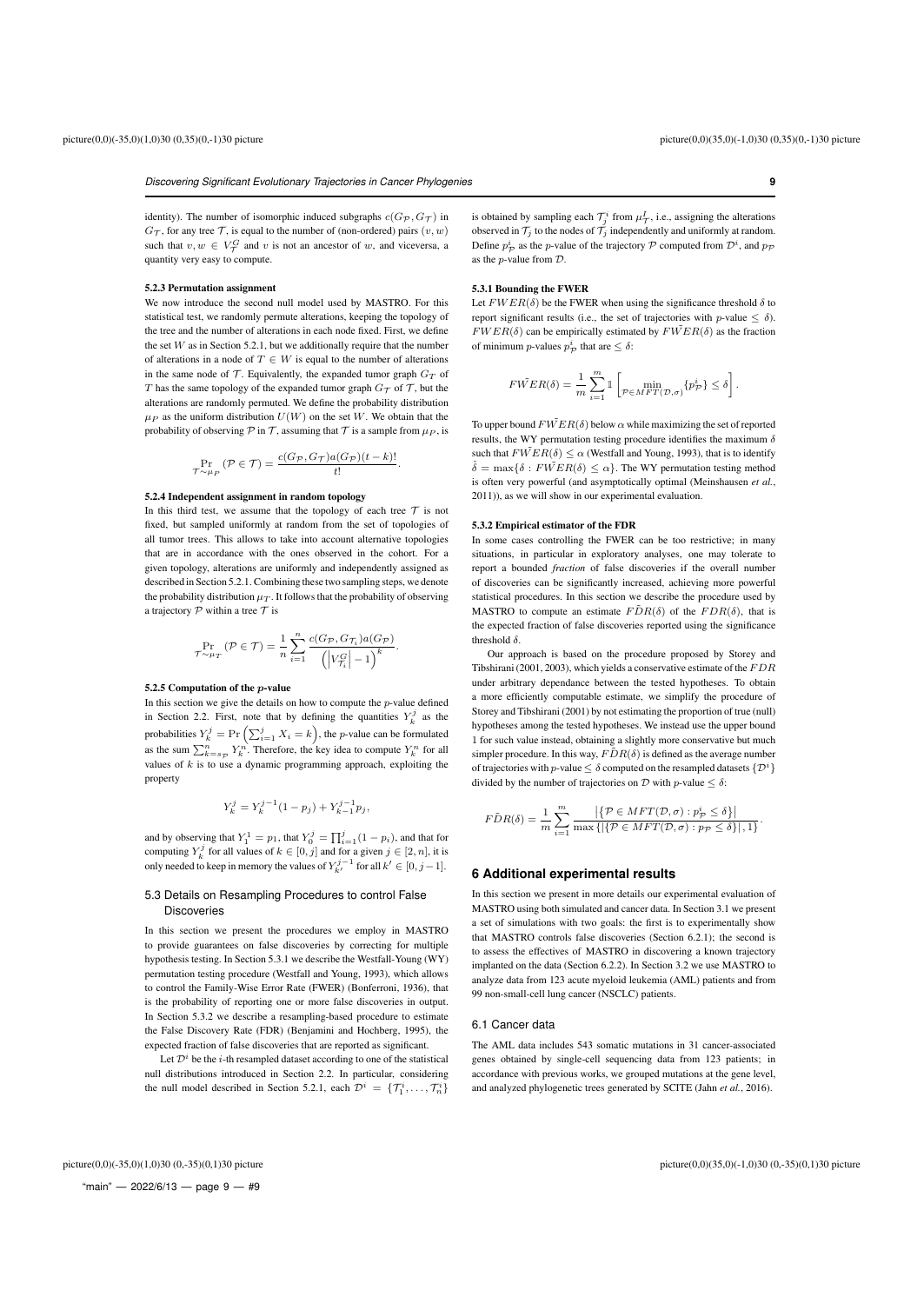.

*Discovering Significant Evolutionary Trajectories in Cancer Phylogenies* **9**

identity). The number of isomorphic induced subgraphs  $c(G_{\mathcal{P}}, G_{\mathcal{T}})$  in  $G_{\mathcal{T}}$ , for any tree  $\mathcal{T}$ , is equal to the number of (non-ordered) pairs  $(v, w)$ such that  $v, w \in V^G_\mathcal{T}$  and v is not an ancestor of w, and viceversa, a quantity very easy to compute.

#### 5.2.3 Permutation assignment

We now introduce the second null model used by MASTRO. For this statistical test, we randomly permute alterations, keeping the topology of the tree and the number of alterations in each node fixed. First, we define the set  $W$  as in Section 5.2.1, but we additionally require that the number of alterations in a node of  $T \in W$  is equal to the number of alterations in the same node of  $\mathcal T$ . Equivalently, the expanded tumor graph  $G_T$  of T has the same topology of the expanded tumor graph  $G_{\tau}$  of T, but the alterations are randomly permuted. We define the probability distribution  $\mu_P$  as the uniform distribution  $U(W)$  on the set W. We obtain that the probability of observing  $\mathcal P$  in  $\mathcal T$ , assuming that  $\mathcal T$  is a sample from  $\mu_{P}$ , is

$$
\Pr_{\mathcal{T} \sim \mu_P} (\mathcal{P} \in \mathcal{T}) = \frac{c(G_{\mathcal{P}}, G_{\mathcal{T}}) a(G_{\mathcal{P}})(t-k)!}{t!}.
$$

#### 5.2.4 Independent assignment in random topology

In this third test, we assume that the topology of each tree  $\mathcal T$  is not fixed, but sampled uniformly at random from the set of topologies of all tumor trees. This allows to take into account alternative topologies that are in accordance with the ones observed in the cohort. For a given topology, alterations are uniformly and independently assigned as described in Section 5.2.1. Combining these two sampling steps, we denote the probability distribution  $\mu_T$ . It follows that the probability of observing a trajectory  $P$  within a tree  $T$  is

$$
\Pr_{\mathcal{T} \sim \mu_T} (\mathcal{P} \in \mathcal{T}) = \frac{1}{n} \sum_{i=1}^n \frac{c(G_{\mathcal{P}}, G_{\mathcal{T}_i}) a(G_{\mathcal{P}})}{\left( \left| V_{\mathcal{T}_i}^G \right| - 1 \right)^k}.
$$

# 5.2.5 Computation of the p-value

In this section we give the details on how to compute the p-value defined in Section 2.2. First, note that by defining the quantities  $Y_k^j$  as the probabilities  $Y_k^j = \Pr\left(\sum_{i=1}^j X_i = k\right)$ , the *p*-value can be formulated as the sum  $\sum_{k=s_{\mathcal{P}}}^{n} Y_k^n$ . Therefore, the key idea to compute  $Y_k^n$  for all values of  $k$  is to use a dynamic programming approach, exploiting the property

$$
Y_k^j = Y_k^{j-1}(1-p_j) + Y_{k-1}^{j-1}p_j,
$$

and by observing that  $Y_1^1 = p_1$ , that  $Y_0^j = \prod_{i=1}^j (1 - p_i)$ , and that for computing  $Y_k^j$  for all values of  $k \in [0, j]$  and for a given  $j \in [2, n]$ , it is only needed to keep in memory the values of  $Y_{k'}^{j-1}$  for all  $k' \in [0, j-1]$ .

# 5.3 Details on Resampling Procedures to control False Discoveries

In this section we present the procedures we employ in MASTRO to provide guarantees on false discoveries by correcting for multiple hypothesis testing. In Section 5.3.1 we describe the Westfall-Young (WY) permutation testing procedure (Westfall and Young, 1993), which allows to control the Family-Wise Error Rate (FWER) (Bonferroni, 1936), that is the probability of reporting one or more false discoveries in output. In Section 5.3.2 we describe a resampling-based procedure to estimate the False Discovery Rate (FDR) (Benjamini and Hochberg, 1995), the expected fraction of false discoveries that are reported as significant.

Let  $\mathcal{D}^i$  be the *i*-th resampled dataset according to one of the statistical null distributions introduced in Section 2.2. In particular, considering the null model described in Section 5.2.1, each  $\mathcal{D}^i = \{\mathcal{T}_1^i, \dots, \mathcal{T}_n^i\}$ 

is obtained by sampling each  $\mathcal{T}_j^i$  from  $\mu^I_{\mathcal{T}}$ , i.e., assigning the alterations observed in  $\mathcal{T}_i$  to the nodes of  $\mathcal{T}_i$  independently and uniformly at random. Define  $p^i_{\mathcal{P}}$  as the *p*-value of the trajectory  $\mathcal P$  computed from  $\mathcal{D}^i$ , and  $p_{\mathcal{P}}$ as the p-value from D.

#### 5.3.1 Bounding the FWER

Let  $FWER(\delta)$  be the FWER when using the significance threshold  $\delta$  to report significant results (i.e., the set of trajectories with  $p$ -value  $\leq \delta$ ).  $FWER(\delta)$  can be empirically estimated by  $FWER(\delta)$  as the fraction of minimum *p*-values  $p_{\mathcal{P}}^i$  that are  $\leq \delta$ :

$$
FWER(\delta) = \frac{1}{m}\sum_{i=1}^{m}\mathbb{I}\left[\min_{\mathcal{P}\in MFT(\mathcal{D},\sigma)}\{p_{\mathcal{P}}^{i}\} \leq \delta\right]
$$

To upper bound  $FWER(\delta)$  below  $\alpha$  while maximizing the set of reported results, the WY permutation testing procedure identifies the maximum  $\delta$ such that  $FWER(\delta) \le \alpha$  (Westfall and Young, 1993), that is to identify  $\hat{\delta} = \max{\delta : F\check{W}ER(\delta) \leq \alpha}$ . The WY permutation testing method is often very powerful (and asymptotically optimal (Meinshausen *et al.*, 2011)), as we will show in our experimental evaluation.

# 5.3.2 Empirical estimator of the FDR

In some cases controlling the FWER can be too restrictive; in many situations, in particular in exploratory analyses, one may tolerate to report a bounded *fraction* of false discoveries if the overall number of discoveries can be significantly increased, achieving more powerful statistical procedures. In this section we describe the procedure used by MASTRO to compute an estimate  $\angle FDR(\delta)$  of the  $FDR(\delta)$ , that is the expected fraction of false discoveries reported using the significance threshold  $\delta$ .

Our approach is based on the procedure proposed by Storey and Tibshirani (2001, 2003), which yields a conservative estimate of the  $FDR$ under arbitrary dependance between the tested hypotheses. To obtain a more efficiently computable estimate, we simplify the procedure of Storey and Tibshirani (2001) by not estimating the proportion of true (null) hypotheses among the tested hypotheses. We instead use the upper bound 1 for such value instead, obtaining a slightly more conservative but much simpler procedure. In this way,  $\angle FDR(\delta)$  is defined as the average number of trajectories with p-value  $\leq \delta$  computed on the resampled datasets  $\{\mathcal{D}^i\}$ divided by the number of trajectories on  $\mathcal D$  with  $p$ -value  $\leq \delta$ :

$$
F\tilde{D}R(\delta) = \frac{1}{m} \sum_{i=1}^{m} \frac{\left| \left\{ \mathcal{P} \in MFT(\mathcal{D}, \sigma) : p_{\mathcal{P}}^{i} \le \delta \right\} \right|}{\max \left\{ \left| \left\{ \mathcal{P} \in MFT(\mathcal{D}, \sigma) : p_{\mathcal{P}} \le \delta \right\} \right|, 1 \right\}}.
$$

# **6 Additional experimental results**

In this section we present in more details our experimental evaluation of MASTRO using both simulated and cancer data. In Section 3.1 we present a set of simulations with two goals: the first is to experimentally show that MASTRO controls false discoveries (Section 6.2.1); the second is to assess the effectives of MASTRO in discovering a known trajectory implanted on the data (Section 6.2.2). In Section 3.2 we use MASTRO to analyze data from 123 acute myeloid leukemia (AML) patients and from 99 non-small-cell lung cancer (NSCLC) patients.

#### 6.1 Cancer data

The AML data includes 543 somatic mutations in 31 cancer-associated genes obtained by single-cell sequencing data from 123 patients; in accordance with previous works, we grouped mutations at the gene level, and analyzed phylogenetic trees generated by SCITE (Jahn *et al.*, 2016).

"main" — 2022/6/13 — page  $9 - #9$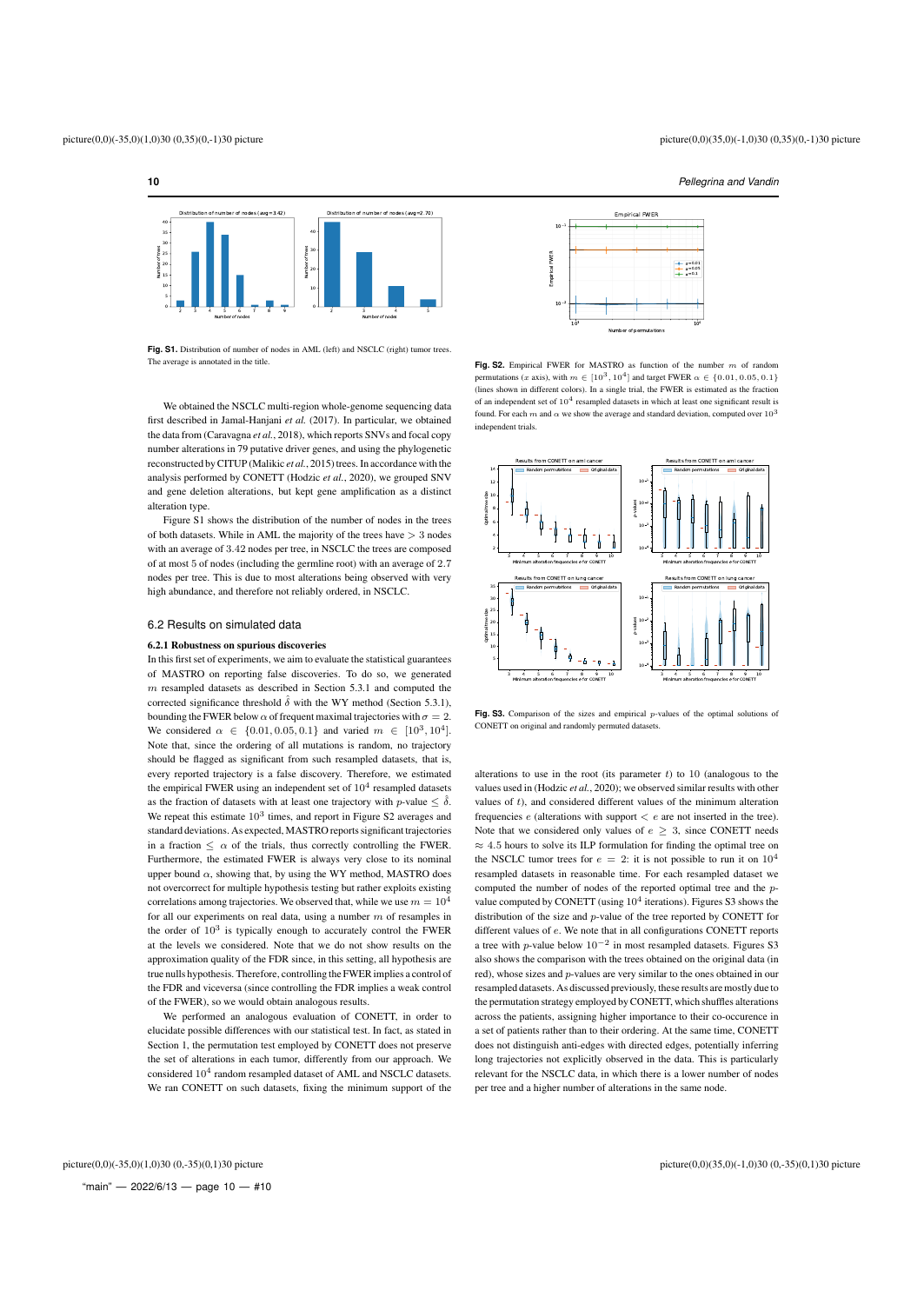# **10** *Pellegrina and Vandin*



**Fig. S1.** Distribution of number of nodes in AML (left) and NSCLC (right) tumor trees. The average is annotated in the title.

We obtained the NSCLC multi-region whole-genome sequencing data first described in Jamal-Hanjani *et al.* (2017). In particular, we obtained the data from (Caravagna *et al.*, 2018), which reports SNVs and focal copy number alterations in 79 putative driver genes, and using the phylogenetic reconstructed by CITUP (Malikic *et al.*, 2015) trees. In accordance with the analysis performed by CONETT (Hodzic *et al.*, 2020), we grouped SNV and gene deletion alterations, but kept gene amplification as a distinct alteration type.

Figure S1 shows the distribution of the number of nodes in the trees of both datasets. While in AML the majority of the trees have > 3 nodes with an average of 3.42 nodes per tree, in NSCLC the trees are composed of at most 5 of nodes (including the germline root) with an average of 2.7 nodes per tree. This is due to most alterations being observed with very high abundance, and therefore not reliably ordered, in NSCLC.

#### 6.2 Results on simulated data

#### 6.2.1 Robustness on spurious discoveries

In this first set of experiments, we aim to evaluate the statistical guarantees of MASTRO on reporting false discoveries. To do so, we generated  $m$  resampled datasets as described in Section 5.3.1 and computed the corrected significance threshold  $\hat{\delta}$  with the WY method (Section 5.3.1), bounding the FWER below  $\alpha$  of frequent maximal trajectories with  $\sigma = 2$ . We considered  $\alpha \in \{0.01, 0.05, 0.1\}$  and varied  $m \in [10^3, 10^4]$ . Note that, since the ordering of all mutations is random, no trajectory should be flagged as significant from such resampled datasets, that is, every reported trajectory is a false discovery. Therefore, we estimated the empirical FWER using an independent set of  $10^4$  resampled datasets as the fraction of datasets with at least one trajectory with *p*-value  $\leq \hat{\delta}$ . We repeat this estimate  $10^3$  times, and report in Figure S2 averages and standard deviations. As expected, MASTRO reports significant trajectories in a fraction  $\leq \alpha$  of the trials, thus correctly controlling the FWER. Furthermore, the estimated FWER is always very close to its nominal upper bound  $\alpha$ , showing that, by using the WY method, MASTRO does not overcorrect for multiple hypothesis testing but rather exploits existing correlations among trajectories. We observed that, while we use  $m = 10^4$ for all our experiments on real data, using a number  $m$  of resamples in the order of  $10^3$  is typically enough to accurately control the FWER at the levels we considered. Note that we do not show results on the approximation quality of the FDR since, in this setting, all hypothesis are true nulls hypothesis. Therefore, controlling the FWER implies a control of the FDR and viceversa (since controlling the FDR implies a weak control of the FWER), so we would obtain analogous results.

We performed an analogous evaluation of CONETT, in order to elucidate possible differences with our statistical test. In fact, as stated in Section 1, the permutation test employed by CONETT does not preserve the set of alterations in each tumor, differently from our approach. We considered  $10^4$  random resampled dataset of AML and NSCLC datasets. We ran CONETT on such datasets, fixing the minimum support of the



Fig. S2. Empirical FWER for MASTRO as function of the number  $m$  of random permutations (x axis), with  $m \in [10^3, 10^4]$  and target FWER  $\alpha \in \{0.01, 0.05, 0.1\}$ (lines shown in different colors). In a single trial, the FWER is estimated as the fraction of an independent set of  $10^4$  resampled datasets in which at least one significant result is found. For each m and  $\alpha$  we show the average and standard deviation, computed over  $10^{3}$ independent trials.



**Fig. S3.** Comparison of the sizes and empirical p-values of the optimal solutions of CONETT on original and randomly permuted datasets.

alterations to use in the root (its parameter  $t$ ) to 10 (analogous to the values used in (Hodzic *et al.*, 2020); we observed similar results with other values of t), and considered different values of the minimum alteration frequencies  $e$  (alterations with support  $\lt e$  are not inserted in the tree). Note that we considered only values of  $e \geq 3$ , since CONETT needs  $\approx$  4.5 hours to solve its ILP formulation for finding the optimal tree on the NSCLC tumor trees for  $e = 2$ : it is not possible to run it on  $10^4$ resampled datasets in reasonable time. For each resampled dataset we computed the number of nodes of the reported optimal tree and the pvalue computed by CONETT (using  $10^4$  iterations). Figures S3 shows the distribution of the size and p-value of the tree reported by CONETT for different values of e. We note that in all configurations CONETT reports a tree with p-value below  $10^{-2}$  in most resampled datasets. Figures S3 also shows the comparison with the trees obtained on the original data (in red), whose sizes and p-values are very similar to the ones obtained in our resampled datasets. As discussed previously, these results are mostly due to the permutation strategy employed by CONETT, which shuffles alterations across the patients, assigning higher importance to their co-occurence in a set of patients rather than to their ordering. At the same time, CONETT does not distinguish anti-edges with directed edges, potentially inferring long trajectories not explicitly observed in the data. This is particularly relevant for the NSCLC data, in which there is a lower number of nodes per tree and a higher number of alterations in the same node.

"main"  $-$  2022/6/13  $-$  page 10  $-$  #10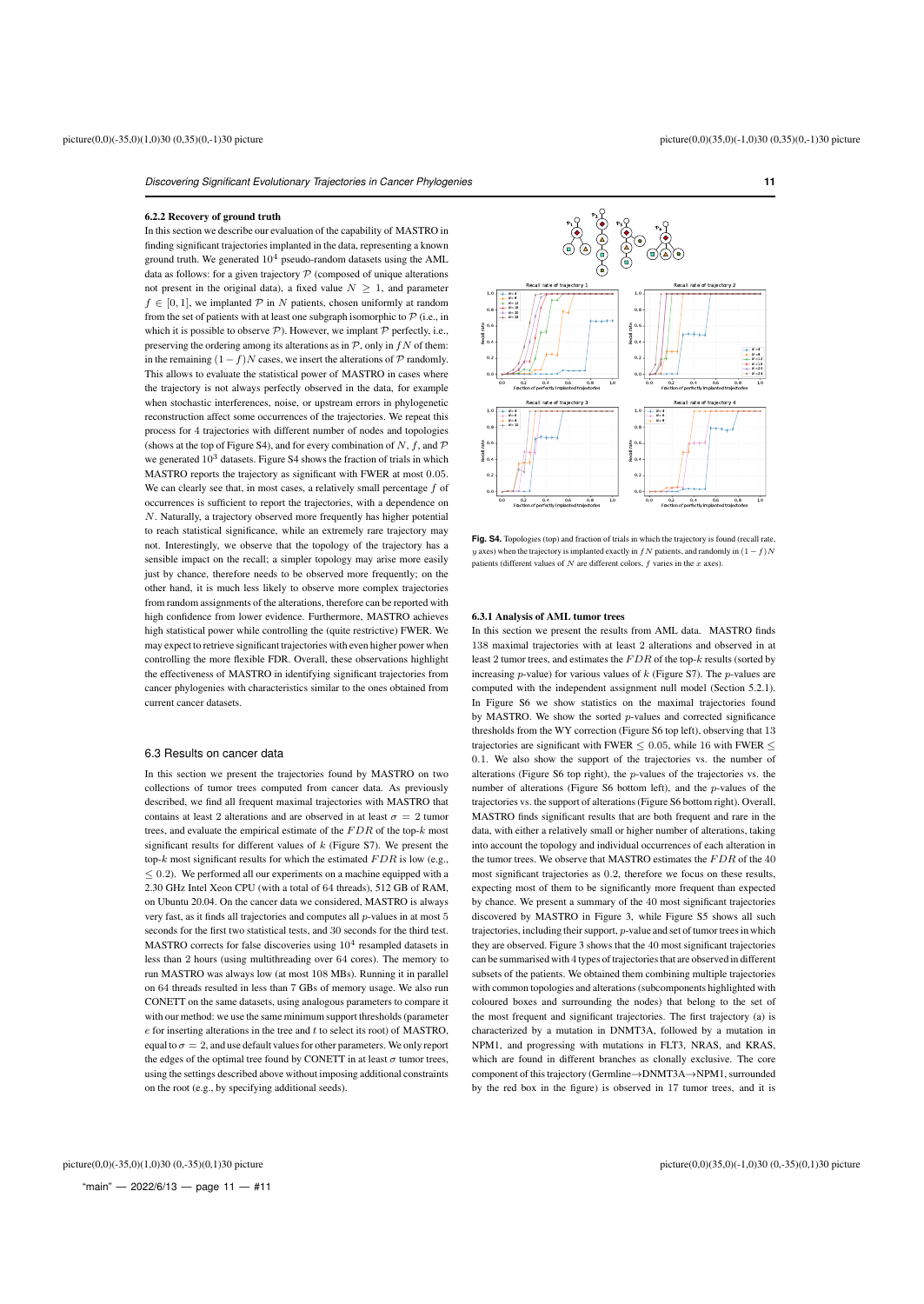# 6.2.2 Recovery of ground truth

In this section we describe our evaluation of the capability of MASTRO in finding significant trajectories implanted in the data, representing a known ground truth. We generated  $10^4$  pseudo-random datasets using the AML data as follows: for a given trajectory  $P$  (composed of unique alterations not present in the original data), a fixed value  $N > 1$ , and parameter  $f \in [0, 1]$ , we implanted  $\mathcal P$  in N patients, chosen uniformly at random from the set of patients with at least one subgraph isomorphic to  $P$  (i.e., in which it is possible to observe  $P$ ). However, we implant  $P$  perfectly, i.e., preserving the ordering among its alterations as in  $\mathcal{P}$ , only in  $fN$  of them: in the remaining  $(1 - f)N$  cases, we insert the alterations of  $P$  randomly. This allows to evaluate the statistical power of MASTRO in cases where the trajectory is not always perfectly observed in the data, for example when stochastic interferences, noise, or upstream errors in phylogenetic reconstruction affect some occurrences of the trajectories. We repeat this process for 4 trajectories with different number of nodes and topologies (shows at the top of Figure S4), and for every combination of N, f, and  $\mathcal P$ we generated  $10^3$  datasets. Figure S4 shows the fraction of trials in which MASTRO reports the trajectory as significant with FWER at most 0.05. We can clearly see that, in most cases, a relatively small percentage  $f$  of occurrences is sufficient to report the trajectories, with a dependence on N. Naturally, a trajectory observed more frequently has higher potential to reach statistical significance, while an extremely rare trajectory may not. Interestingly, we observe that the topology of the trajectory has a sensible impact on the recall; a simpler topology may arise more easily just by chance, therefore needs to be observed more frequently; on the other hand, it is much less likely to observe more complex trajectories from random assignments of the alterations, therefore can be reported with high confidence from lower evidence. Furthermore, MASTRO achieves high statistical power while controlling the (quite restrictive) FWER. We may expect to retrieve significant trajectories with even higher power when controlling the more flexible FDR. Overall, these observations highlight the effectiveness of MASTRO in identifying significant trajectories from cancer phylogenies with characteristics similar to the ones obtained from current cancer datasets.

# 6.3 Results on cancer data

In this section we present the trajectories found by MASTRO on two collections of tumor trees computed from cancer data. As previously described, we find all frequent maximal trajectories with MASTRO that contains at least 2 alterations and are observed in at least  $\sigma = 2$  tumor trees, and evaluate the empirical estimate of the  $FDR$  of the top- $k$  most significant results for different values of  $k$  (Figure S7). We present the top- $k$  most significant results for which the estimated  $FDR$  is low (e.g.,  $\leq$  0.2). We performed all our experiments on a machine equipped with a 2.30 GHz Intel Xeon CPU (with a total of 64 threads), 512 GB of RAM, on Ubuntu 20.04. On the cancer data we considered, MASTRO is always very fast, as it finds all trajectories and computes all p-values in at most 5 seconds for the first two statistical tests, and 30 seconds for the third test. MASTRO corrects for false discoveries using  $10^4$  resampled datasets in less than 2 hours (using multithreading over 64 cores). The memory to run MASTRO was always low (at most 108 MBs). Running it in parallel on 64 threads resulted in less than 7 GBs of memory usage. We also run CONETT on the same datasets, using analogous parameters to compare it with our method: we use the same minimum support thresholds (parameter  $e$  for inserting alterations in the tree and  $t$  to select its root) of MASTRO, equal to  $\sigma=2,$  and use default values for other parameters. We only report the edges of the optimal tree found by CONETT in at least  $\sigma$  tumor trees, using the settings described above without imposing additional constraints on the root (e.g., by specifying additional seeds).



Fig. S4. Topologies (top) and fraction of trials in which the trajectory is found (recall rate, y axes) when the trajectory is implanted exactly in  $fN$  patients, and randomly in  $(1-f)N$ patients (different values of N are different colors, f varies in the  $x$  axes).

#### 6.3.1 Analysis of AML tumor trees

In this section we present the results from AML data. MASTRO finds 138 maximal trajectories with at least 2 alterations and observed in at least 2 tumor trees, and estimates the  $FDR$  of the top- $k$  results (sorted by increasing  $p$ -value) for various values of  $k$  (Figure S7). The  $p$ -values are computed with the independent assignment null model (Section 5.2.1). In Figure S6 we show statistics on the maximal trajectories found by MASTRO. We show the sorted p-values and corrected significance thresholds from the WY correction (Figure S6 top left), observing that 13 trajectories are significant with FWER  $\leq$  0.05, while 16 with FWER  $\leq$ 0.1. We also show the support of the trajectories vs. the number of alterations (Figure S6 top right), the p-values of the trajectories vs. the number of alterations (Figure S6 bottom left), and the p-values of the trajectories vs. the support of alterations (Figure S6 bottom right). Overall, MASTRO finds significant results that are both frequent and rare in the data, with either a relatively small or higher number of alterations, taking into account the topology and individual occurrences of each alteration in the tumor trees. We observe that MASTRO estimates the  $FDR$  of the  $40\,$ most significant trajectories as 0.2, therefore we focus on these results, expecting most of them to be significantly more frequent than expected by chance. We present a summary of the 40 most significant trajectories discovered by MASTRO in Figure 3, while Figure S5 shows all such trajectories, including their support, p-value and set of tumor trees in which they are observed. Figure 3 shows that the 40 most significant trajectories can be summarised with 4 types of trajectories that are observed in different subsets of the patients. We obtained them combining multiple trajectories with common topologies and alterations (subcomponents highlighted with coloured boxes and surrounding the nodes) that belong to the set of the most frequent and significant trajectories. The first trajectory (a) is characterized by a mutation in DNMT3A, followed by a mutation in NPM1, and progressing with mutations in FLT3, NRAS, and KRAS, which are found in different branches as clonally exclusive. The core component of this trajectory (Germline→DNMT3A→NPM1, surrounded by the red box in the figure) is observed in 17 tumor trees, and it is

"main"  $-$  2022/6/13  $-$  page 11  $-$  #11 picture(0,0)(-35,0)(1,0)30 (0,-35)(0,1)30 picture picture(0,0)(35,0)(-1,0)30 (0,-35)(0,1)30 picture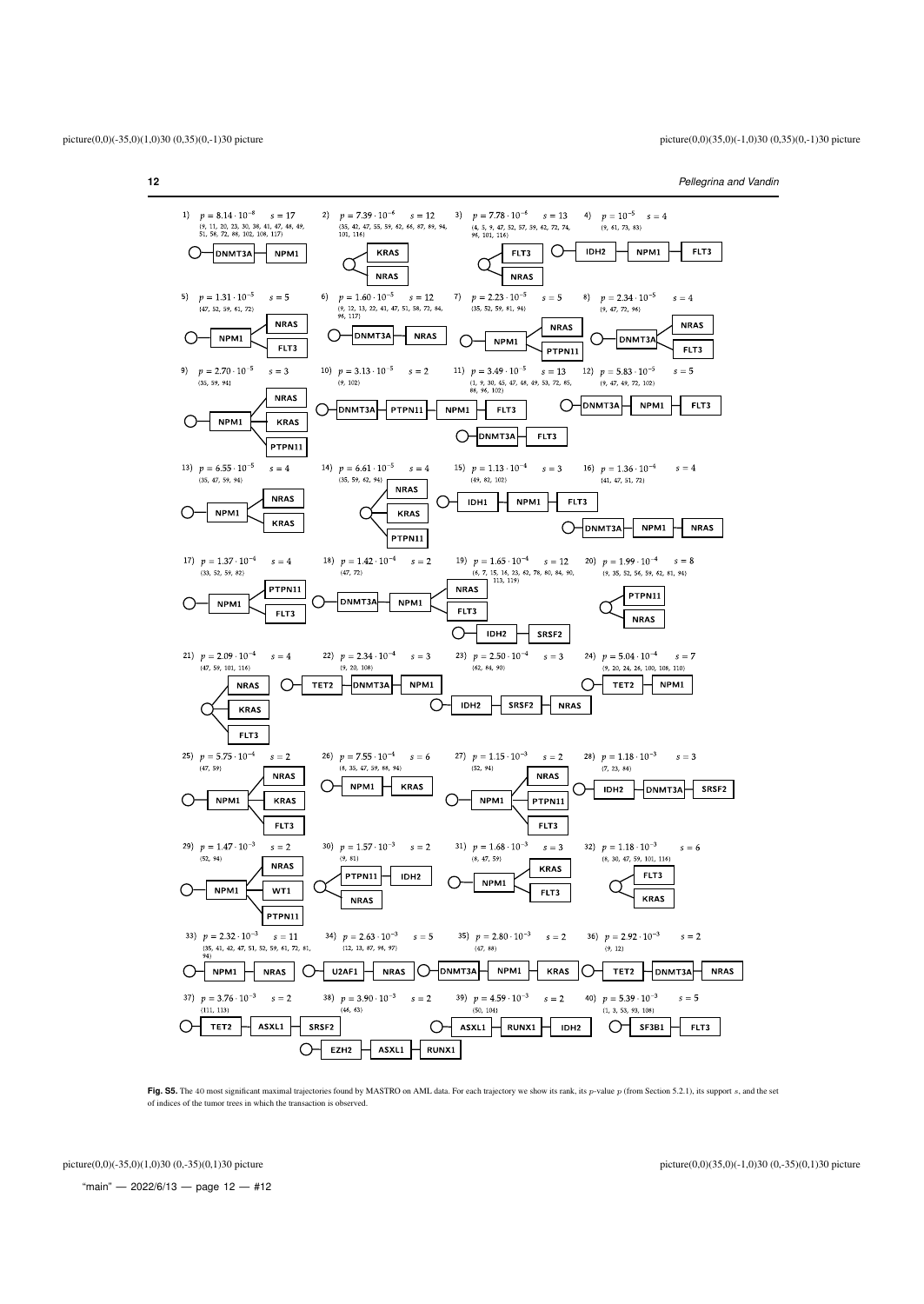

Fig. S5. The 40 most significant maximal trajectories found by MASTRO on AML data. For each trajectory we show its rank, its p-value p (from Section 5.2.1), its support s, and the set of indices of the tumor trees in which the transaction is observed.

"main" - 2022/6/13 - page  $12 - #12$ 

picture(0,0)(-35,0)(1,0)30 (0,-35)(0,1)30 picture picture(0,0)(35,0)(-1,0)30 (0,-35)(0,1)30 picture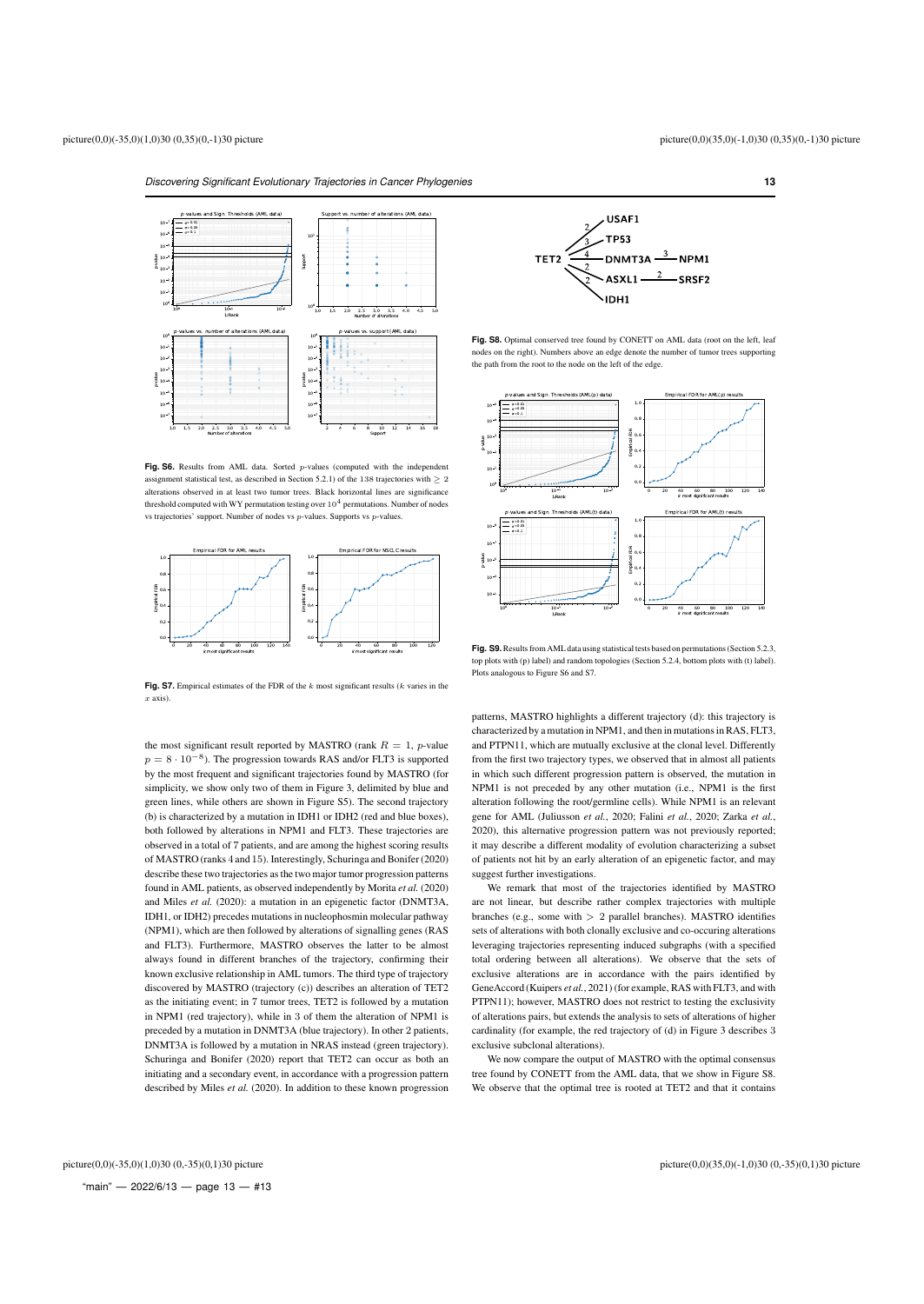

**Fig. S6.** Results from AML data. Sorted *p*-values (computed with the independent assignment statistical test, as described in Section 5.2.1) of the 138 trajectories with  $\geq 2$ alterations observed in at least two tumor trees. Black horizontal lines are significance threshold computed with WY permutation testing over  $10^4$  permutations. Number of nodes vs trajectories' support. Number of nodes vs p-values. Supports vs p-values.



Fig. S7. Empirical estimates of the FDR of the k most significant results (k varies in the x axis).

the most significant result reported by MASTRO (rank  $R = 1$ , p-value  $p = 8 \cdot 10^{-8}$ ). The progression towards RAS and/or FLT3 is supported by the most frequent and significant trajectories found by MASTRO (for simplicity, we show only two of them in Figure 3, delimited by blue and green lines, while others are shown in Figure S5). The second trajectory (b) is characterized by a mutation in IDH1 or IDH2 (red and blue boxes), both followed by alterations in NPM1 and FLT3. These trajectories are observed in a total of 7 patients, and are among the highest scoring results of MASTRO (ranks 4 and 15). Interestingly, Schuringa and Bonifer (2020) describe these two trajectories as the two major tumor progression patterns found in AML patients, as observed independently by Morita *et al.* (2020) and Miles *et al.* (2020): a mutation in an epigenetic factor (DNMT3A, IDH1, or IDH2) precedes mutations in nucleophosmin molecular pathway (NPM1), which are then followed by alterations of signalling genes (RAS and FLT3). Furthermore, MASTRO observes the latter to be almost always found in different branches of the trajectory, confirming their known exclusive relationship in AML tumors. The third type of trajectory discovered by MASTRO (trajectory (c)) describes an alteration of TET2 as the initiating event; in 7 tumor trees, TET2 is followed by a mutation in NPM1 (red trajectory), while in 3 of them the alteration of NPM1 is preceded by a mutation in DNMT3A (blue trajectory). In other 2 patients, DNMT3A is followed by a mutation in NRAS instead (green trajectory). Schuringa and Bonifer (2020) report that TET2 can occur as both an initiating and a secondary event, in accordance with a progression pattern described by Miles *et al.* (2020). In addition to these known progression



Fig. S8. Optimal conserved tree found by CONETT on AML data (root on the left, leaf nodes on the right). Numbers above an edge denote the number of tumor trees supporting the path from the root to the node on the left of the edge.



**Fig. S9.**Results from AML data using statistical tests based on permutations (Section 5.2.3, top plots with (p) label) and random topologies (Section 5.2.4, bottom plots with (t) label). Plots analogous to Figure S6 and S7.

patterns, MASTRO highlights a different trajectory (d): this trajectory is characterized by a mutation in NPM1, and then in mutations in RAS, FLT3, and PTPN11, which are mutually exclusive at the clonal level. Differently from the first two trajectory types, we observed that in almost all patients in which such different progression pattern is observed, the mutation in NPM1 is not preceded by any other mutation (i.e., NPM1 is the first alteration following the root/germline cells). While NPM1 is an relevant gene for AML (Juliusson *et al.*, 2020; Falini *et al.*, 2020; Zarka *et al.*, 2020), this alternative progression pattern was not previously reported; it may describe a different modality of evolution characterizing a subset of patients not hit by an early alteration of an epigenetic factor, and may suggest further investigations.

We remark that most of the trajectories identified by MASTRO are not linear, but describe rather complex trajectories with multiple branches (e.g., some with > 2 parallel branches). MASTRO identifies sets of alterations with both clonally exclusive and co-occuring alterations leveraging trajectories representing induced subgraphs (with a specified total ordering between all alterations). We observe that the sets of exclusive alterations are in accordance with the pairs identified by GeneAccord (Kuipers *et al.*, 2021) (for example, RAS with FLT3, and with PTPN11); however, MASTRO does not restrict to testing the exclusivity of alterations pairs, but extends the analysis to sets of alterations of higher cardinality (for example, the red trajectory of (d) in Figure 3 describes 3 exclusive subclonal alterations).

We now compare the output of MASTRO with the optimal consensus tree found by CONETT from the AML data, that we show in Figure S8. We observe that the optimal tree is rooted at TET2 and that it contains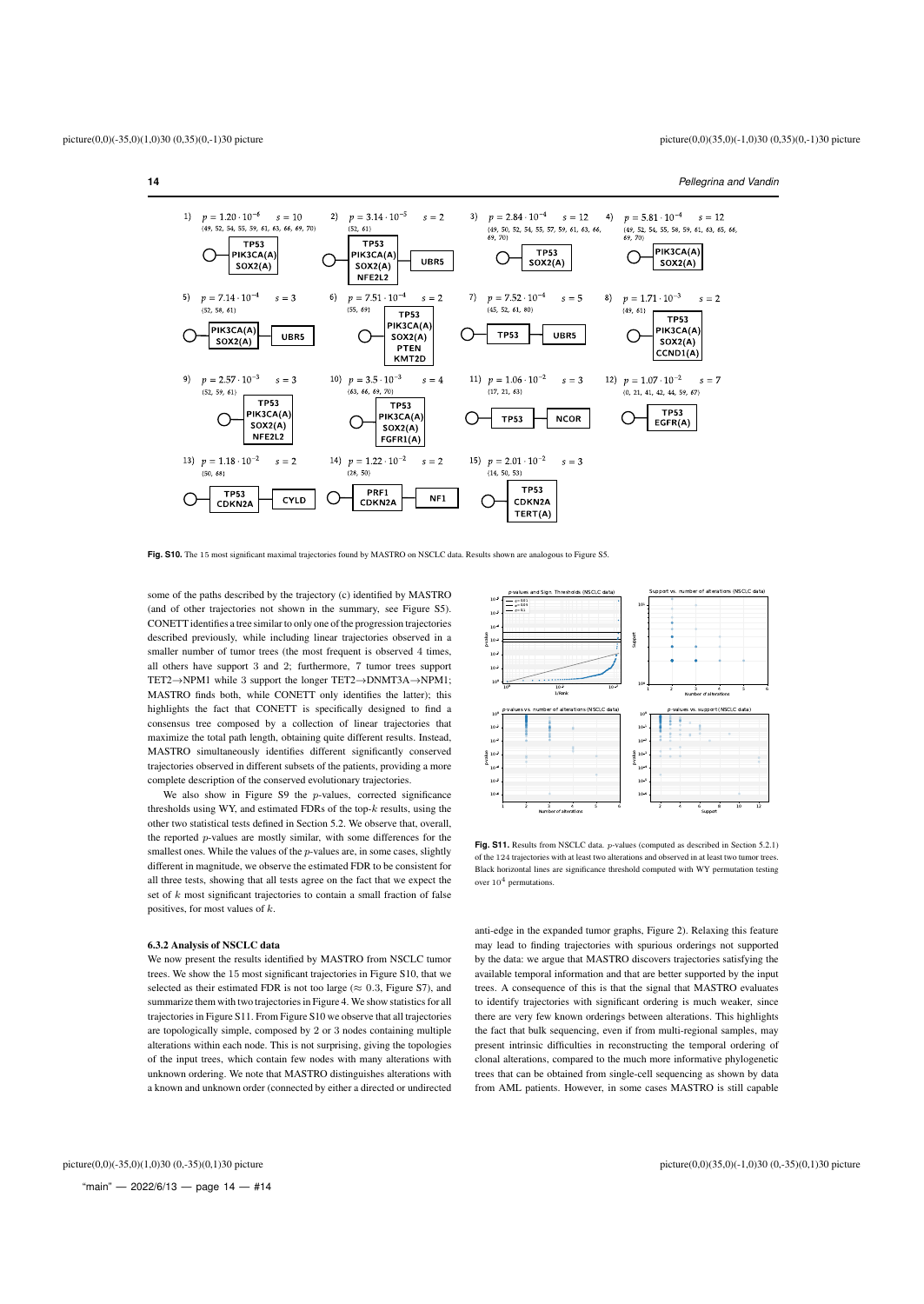

**Fig. S10.** The 15 most significant maximal trajectories found by MASTRO on NSCLC data. Results shown are analogous to Figure S5.

some of the paths described by the trajectory (c) identified by MASTRO (and of other trajectories not shown in the summary, see Figure S5). CONETT identifies a tree similar to only one of the progression trajectories described previously, while including linear trajectories observed in a smaller number of tumor trees (the most frequent is observed 4 times, all others have support 3 and 2; furthermore, 7 tumor trees support TET2→NPM1 while 3 support the longer TET2→DNMT3A→NPM1; MASTRO finds both, while CONETT only identifies the latter); this highlights the fact that CONETT is specifically designed to find a consensus tree composed by a collection of linear trajectories that maximize the total path length, obtaining quite different results. Instead, MASTRO simultaneously identifies different significantly conserved trajectories observed in different subsets of the patients, providing a more complete description of the conserved evolutionary trajectories.

We also show in Figure S9 the p-values, corrected significance thresholds using WY, and estimated FDRs of the top- $k$  results, using the other two statistical tests defined in Section 5.2. We observe that, overall, the reported p-values are mostly similar, with some differences for the smallest ones. While the values of the  $p$ -values are, in some cases, slightly different in magnitude, we observe the estimated FDR to be consistent for all three tests, showing that all tests agree on the fact that we expect the set of  $k$  most significant trajectories to contain a small fraction of false positives, for most values of k.

# 6.3.2 Analysis of NSCLC data

We now present the results identified by MASTRO from NSCLC tumor trees. We show the 15 most significant trajectories in Figure S10, that we selected as their estimated FDR is not too large ( $\approx 0.3$ , Figure S7), and summarize them with two trajectories in Figure 4. We show statistics for all trajectories in Figure S11. From Figure S10 we observe that all trajectories are topologically simple, composed by 2 or 3 nodes containing multiple alterations within each node. This is not surprising, giving the topologies of the input trees, which contain few nodes with many alterations with unknown ordering. We note that MASTRO distinguishes alterations with a known and unknown order (connected by either a directed or undirected



**Fig. S11.** Results from NSCLC data. *p*-values (computed as described in Section 5.2.1) of the 124 trajectories with at least two alterations and observed in at least two tumor trees. Black horizontal lines are significance threshold computed with WY permutation testing over  $10^4$  permutations.

anti-edge in the expanded tumor graphs, Figure 2). Relaxing this feature may lead to finding trajectories with spurious orderings not supported by the data: we argue that MASTRO discovers trajectories satisfying the available temporal information and that are better supported by the input trees. A consequence of this is that the signal that MASTRO evaluates to identify trajectories with significant ordering is much weaker, since there are very few known orderings between alterations. This highlights the fact that bulk sequencing, even if from multi-regional samples, may present intrinsic difficulties in reconstructing the temporal ordering of clonal alterations, compared to the much more informative phylogenetic trees that can be obtained from single-cell sequencing as shown by data from AML patients. However, in some cases MASTRO is still capable

picture(0,0)(-35,0)(1,0)30 (0,-35)(0,1)30 picture picture(0,0)(35,0)(-1,0)30 (0,-35)(0,1)30 picture

"main"  $-$  2022/6/13  $-$  page 14  $-$  #14